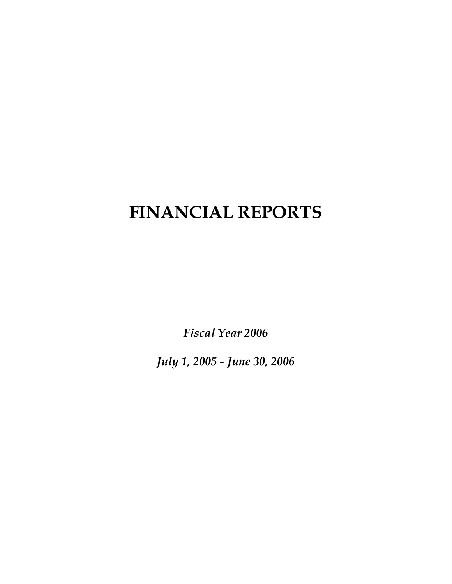# **FINANCIAL REPORTS**

*Fiscal Year 2006* 

*July 1, 2005 - June 30, 2006*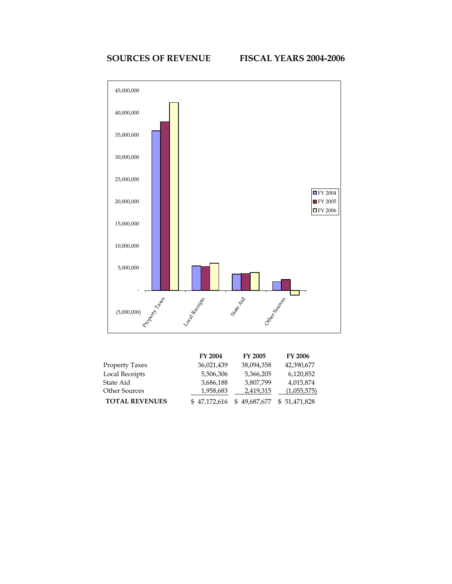

|                       | <b>FY 2004</b> | <b>FY 2005</b>   | <b>FY 2006</b> |
|-----------------------|----------------|------------------|----------------|
| <b>Property Taxes</b> | 36,021,439     | 38.094.358       | 42,390,677     |
| <b>Local Receipts</b> | 5,506,306      | 5,366,205        | 6,120,852      |
| State Aid             | 3,686,188      | 3,807,799        | 4,015,874      |
| <b>Other Sources</b>  | 1,958,683      | 2,419,315        | (1,055,575)    |
| <b>TOTAL REVENUES</b> | \$47,172,616   | 49,687,677<br>S. | \$51,471,828   |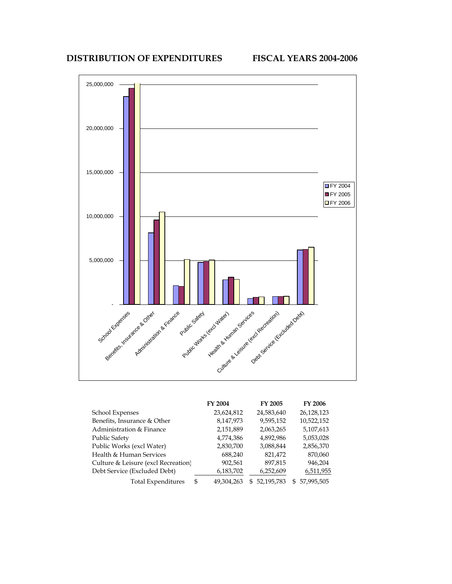# **DISTRIBUTION OF EXPENDITURES FISCAL YEARS 2004-2006**



|                                     |   | FY 2004    |   | FY 2005    |    | <b>FY 2006</b> |
|-------------------------------------|---|------------|---|------------|----|----------------|
| <b>School Expenses</b>              |   | 23,624,812 |   | 24,583,640 |    | 26,128,123     |
| Benefits, Insurance & Other         |   | 8,147,973  |   | 9,595,152  |    | 10,522,152     |
| Administration & Finance            |   | 2,151,889  |   | 2,063,265  |    | 5,107,613      |
| <b>Public Safety</b>                |   | 4,774,386  |   | 4,892,986  |    | 5,053,028      |
| Public Works (excl Water)           |   | 2,830,700  |   | 3,088,844  |    | 2,856,370      |
| Health & Human Services             |   | 688,240    |   | 821,472    |    | 870,060        |
| Culture & Leisure (excl Recreation) |   | 902,561    |   | 897,815    |    | 946,204        |
| Debt Service (Excluded Debt)        |   | 6,183,702  |   | 6,252,609  |    | 6,511,955      |
| <b>Total Expenditures</b>           | S | 49,304,263 | S | 52,195,783 | S. | 57,995,505     |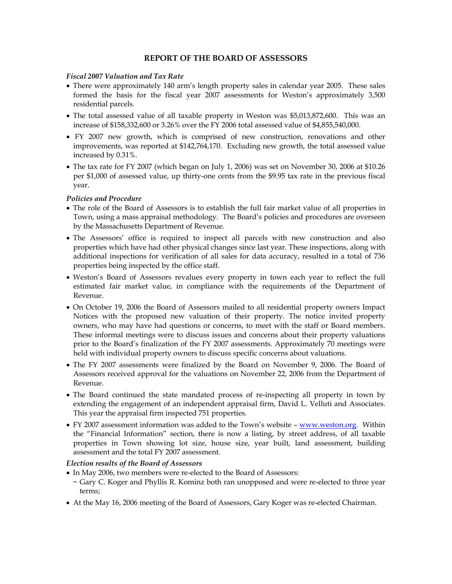# **REPORT OF THE BOARD OF ASSESSORS**

#### *Fiscal 2007 Valuation and Tax Rate*

- There were approximately 140 arm's length property sales in calendar year 2005. These sales formed the basis for the fiscal year 2007 assessments for Weston's approximately 3,500 residential parcels.
- The total assessed value of all taxable property in Weston was \$5,013,872,600. This was an increase of \$158,332,600 or 3.26% over the FY 2006 total assessed value of \$4,855,540,000.
- FY 2007 new growth, which is comprised of new construction, renovations and other improvements, was reported at \$142,764,170. Excluding new growth, the total assessed value increased by 0.31%.
- The tax rate for FY 2007 (which began on July 1, 2006) was set on November 30, 2006 at \$10.26 per \$1,000 of assessed value, up thirty-one cents from the \$9.95 tax rate in the previous fiscal year.

#### *Policies and Procedure*

- The role of the Board of Assessors is to establish the full fair market value of all properties in Town, using a mass appraisal methodology. The Board's policies and procedures are overseen by the Massachusetts Department of Revenue.
- The Assessors' office is required to inspect all parcels with new construction and also properties which have had other physical changes since last year. These inspections, along with additional inspections for verification of all sales for data accuracy, resulted in a total of 736 properties being inspected by the office staff.
- Weston's Board of Assessors revalues every property in town each year to reflect the full estimated fair market value, in compliance with the requirements of the Department of Revenue.
- On October 19, 2006 the Board of Assessors mailed to all residential property owners Impact Notices with the proposed new valuation of their property. The notice invited property owners, who may have had questions or concerns, to meet with the staff or Board members. These informal meetings were to discuss issues and concerns about their property valuations prior to the Board's finalization of the FY 2007 assessments. Approximately 70 meetings were held with individual property owners to discuss specific concerns about valuations.
- The FY 2007 assessments were finalized by the Board on November 9, 2006. The Board of Assessors received approval for the valuations on November 22, 2006 from the Department of Revenue.
- The Board continued the state mandated process of re-inspecting all property in town by extending the engagement of an independent appraisal firm, David L. Velluti and Associates. This year the appraisal firm inspected 751 properties.
- FY 2007 assessment information was added to the Town's website www.weston.org. Within the "Financial Information" section, there is now a listing, by street address, of all taxable properties in Town showing lot size, house size, year built, land assessment, building assessment and the total FY 2007 assessment.

# *Election results of the Board of Assessors*

- In May 2006, two members were re-elected to the Board of Assessors: ~ Gary C. Koger and Phyllis R. Kominz both ran unopposed and were re-elected to three year terms;
- At the May 16, 2006 meeting of the Board of Assessors, Gary Koger was re-elected Chairman.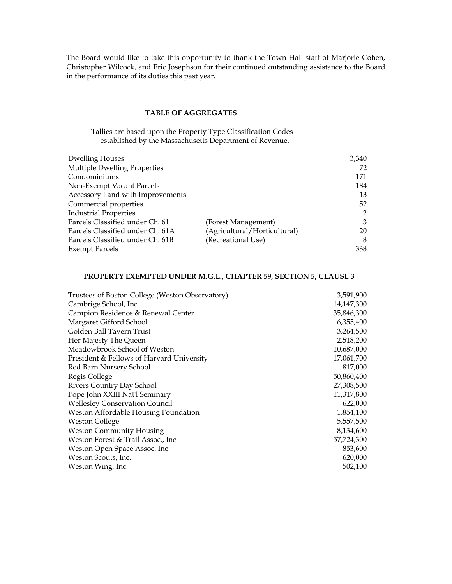The Board would like to take this opportunity to thank the Town Hall staff of Marjorie Cohen, Christopher Wilcock, and Eric Josephson for their continued outstanding assistance to the Board in the performance of its duties this past year.

#### **TABLE OF AGGREGATES**

Tallies are based upon the Property Type Classification Codes established by the Massachusetts Department of Revenue.

| <b>Dwelling Houses</b>           |                              | 3,340 |
|----------------------------------|------------------------------|-------|
| Multiple Dwelling Properties     |                              | 72    |
| Condominiums                     |                              | 171   |
| Non-Exempt Vacant Parcels        |                              | 184   |
| Accessory Land with Improvements |                              | 13    |
| Commercial properties            |                              | 52    |
| <b>Industrial Properties</b>     |                              | 2     |
| Parcels Classified under Ch. 61  | (Forest Management)          | 3     |
| Parcels Classified under Ch. 61A | (Agricultural/Horticultural) | 20    |
| Parcels Classified under Ch. 61B | (Recreational Use)           | 8     |
| <b>Exempt Parcels</b>            |                              | 338   |

# **PROPERTY EXEMPTED UNDER M.G.L., CHAPTER 59, SECTION 5, CLAUSE 3**

| Trustees of Boston College (Weston Observatory) | 3,591,900  |
|-------------------------------------------------|------------|
| Cambrige School, Inc.                           | 14,147,300 |
| Campion Residence & Renewal Center              | 35,846,300 |
| Margaret Gifford School                         | 6,355,400  |
| Golden Ball Tavern Trust                        | 3,264,500  |
| Her Majesty The Queen                           | 2,518,200  |
| Meadowbrook School of Weston                    | 10,687,000 |
| President & Fellows of Harvard University       | 17,061,700 |
| Red Barn Nursery School                         | 817,000    |
| Regis College                                   | 50,860,400 |
| Rivers Country Day School                       | 27,308,500 |
| Pope John XXIII Nat'l Seminary                  | 11,317,800 |
| <b>Wellesley Conservation Council</b>           | 622,000    |
| Weston Affordable Housing Foundation            | 1,854,100  |
| <b>Weston College</b>                           | 5,557,500  |
| <b>Weston Community Housing</b>                 | 8,134,600  |
| Weston Forest & Trail Assoc., Inc.              | 57,724,300 |
| Weston Open Space Assoc. Inc                    | 853,600    |
| Weston Scouts, Inc.                             | 620,000    |
| Weston Wing, Inc.                               | 502,100    |
|                                                 |            |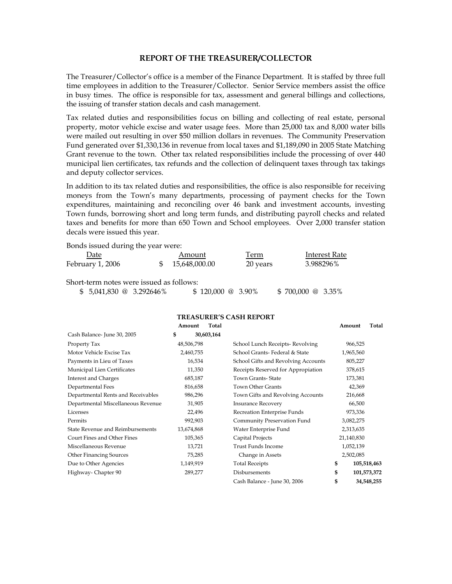#### **REPORT OF THE TREASURER/COLLECTOR**

The Treasurer/Collector's office is a member of the Finance Department. It is staffed by three full time employees in addition to the Treasurer/Collector. Senior Service members assist the office in busy times. The office is responsible for tax, assessment and general billings and collections, the issuing of transfer station decals and cash management.

Tax related duties and responsibilities focus on billing and collecting of real estate, personal property, motor vehicle excise and water usage fees. More than 25,000 tax and 8,000 water bills were mailed out resulting in over \$50 million dollars in revenues. The Community Preservation Fund generated over \$1,330,136 in revenue from local taxes and \$1,189,090 in 2005 State Matching Grant revenue to the town. Other tax related responsibilities include the processing of over 440 municipal lien certificates, tax refunds and the collection of delinquent taxes through tax takings and deputy collector services.

In addition to its tax related duties and responsibilities, the office is also responsible for receiving moneys from the Town's many departments, processing of payment checks for the Town expenditures, maintaining and reconciling over 46 bank and investment accounts, investing Town funds, borrowing short and long term funds, and distributing payroll checks and related taxes and benefits for more than 650 Town and School employees. Over 2,000 transfer station decals were issued this year.

Bonds issued during the year were:

| Date                                     | Amount        | Term     | Interest Rate |
|------------------------------------------|---------------|----------|---------------|
| February 1, 2006                         | 15,648,000.00 | 20 years | 3.988296%     |
| Short-term notes were issued as follows: |               |          |               |

| $$5,041,830$ @ 3.292646% |  | $$120,000 \ @ \ 3.90\%$ |  | $$700,000 \ @ \ 3.35\%$ |  |
|--------------------------|--|-------------------------|--|-------------------------|--|
|--------------------------|--|-------------------------|--|-------------------------|--|

|                                    |            |            | TREASURER'S CASH REPORT             |            |             |
|------------------------------------|------------|------------|-------------------------------------|------------|-------------|
|                                    | Amount     | Total      |                                     | Amount     | Total       |
| Cash Balance-June 30, 2005         | \$         | 30,603,164 |                                     |            |             |
| Property Tax                       | 48,506,798 |            | School Lunch Receipts-Revolving     | 966,525    |             |
| Motor Vehicle Excise Tax           | 2,460,755  |            | School Grants-Federal & State       | 1,965,560  |             |
| Payments in Lieu of Taxes          | 16,534     |            | School Gifts and Revolving Accounts | 805,227    |             |
| Municipal Lien Certificates        | 11,350     |            | Receipts Reserved for Appropiation  | 378,615    |             |
| <b>Interest and Charges</b>        | 685,187    |            | Town Grants-State                   | 173,381    |             |
| Departmental Fees                  | 816,658    |            | <b>Town Other Grants</b>            | 42,369     |             |
| Departmental Rents and Receivables | 986,296    |            | Town Gifts and Revolving Accounts   | 216,668    |             |
| Departmental Miscellaneous Revenue | 31,905     |            | <b>Insurance Recovery</b>           | 66,500     |             |
| Licenses                           | 22,496     |            | Recreation Enterprise Funds         | 973,336    |             |
| Permits                            | 992,903    |            | Community Preservation Fund         | 3,082,275  |             |
| State Revenue and Reimbursements   | 13,674,868 |            | Water Enterprise Fund               | 2,313,635  |             |
| Court Fines and Other Fines        | 105,365    |            | Capital Projects                    | 21,140,830 |             |
| Miscellaneous Revenue              | 13,721     |            | <b>Trust Funds Income</b>           | 1,052,139  |             |
| <b>Other Financing Sources</b>     | 75,285     |            | Change in Assets                    | 2,502,085  |             |
| Due to Other Agencies              | 1,149,919  |            | <b>Total Receipts</b>               | \$         | 105,518,463 |
| Highway-Chapter 90                 | 289,277    |            | Disbursements                       | \$         | 101,573,372 |
|                                    |            |            | Cash Balance - June 30, 2006        | \$         | 34.548.255  |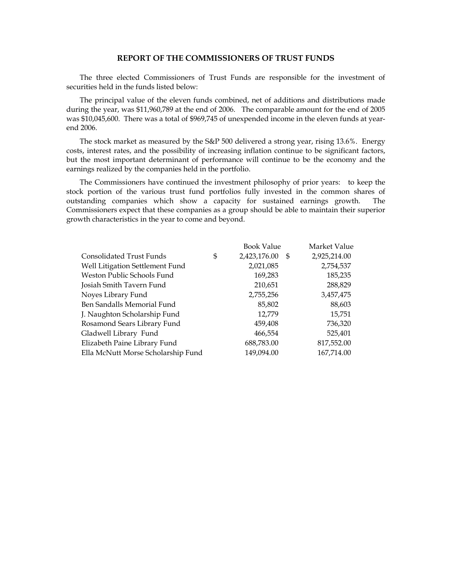# **REPORT OF THE COMMISSIONERS OF TRUST FUNDS**

The three elected Commissioners of Trust Funds are responsible for the investment of securities held in the funds listed below:

The principal value of the eleven funds combined, net of additions and distributions made during the year, was \$11,960,789 at the end of 2006. The comparable amount for the end of 2005 was \$10,045,600. There was a total of \$969,745 of unexpended income in the eleven funds at yearend 2006.

The stock market as measured by the S&P 500 delivered a strong year, rising 13.6%. Energy costs, interest rates, and the possibility of increasing inflation continue to be significant factors, but the most important determinant of performance will continue to be the economy and the earnings realized by the companies held in the portfolio.

The Commissioners have continued the investment philosophy of prior years: to keep the stock portion of the various trust fund portfolios fully invested in the common shares of outstanding companies which show a capacity for sustained earnings growth. The Commissioners expect that these companies as a group should be able to maintain their superior growth characteristics in the year to come and beyond.

|                                    | <b>Book Value</b>  |      | Market Value |
|------------------------------------|--------------------|------|--------------|
| Consolidated Trust Funds           | \$<br>2,423,176.00 | - \$ | 2,925,214.00 |
| Well Litigation Settlement Fund    | 2,021,085          |      | 2,754,537    |
| Weston Public Schools Fund         | 169,283            |      | 185,235      |
| Josiah Smith Tavern Fund           | 210,651            |      | 288,829      |
| Noyes Library Fund                 | 2,755,256          |      | 3,457,475    |
| Ben Sandalls Memorial Fund         | 85,802             |      | 88,603       |
| J. Naughton Scholarship Fund       | 12,779             |      | 15,751       |
| Rosamond Sears Library Fund        | 459,408            |      | 736,320      |
| Gladwell Library Fund              | 466,554            |      | 525,401      |
| Elizabeth Paine Library Fund       | 688,783.00         |      | 817,552.00   |
| Ella McNutt Morse Scholarship Fund | 149,094.00         |      | 167,714.00   |
|                                    |                    |      |              |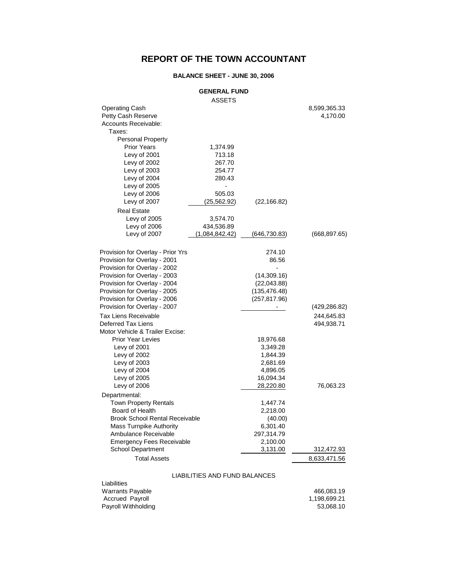# **REPORT OF THE TOWN ACCOUNTANT**

# **BALANCE SHEET - JUNE 30, 2006**

#### **GENERAL FUND**

| <b>Operating Cash</b><br>Petty Cash Reserve |                               |               | 8,599,365.33<br>4,170.00 |
|---------------------------------------------|-------------------------------|---------------|--------------------------|
| <b>Accounts Receivable:</b>                 |                               |               |                          |
| Taxes:                                      |                               |               |                          |
| <b>Personal Property</b>                    |                               |               |                          |
| <b>Prior Years</b>                          | 1,374.99                      |               |                          |
| Levy of 2001                                | 713.18                        |               |                          |
| Levy of 2002                                | 267.70                        |               |                          |
| Levy of 2003                                | 254.77                        |               |                          |
| Levy of 2004                                | 280.43                        |               |                          |
| Levy of 2005                                | ÷,                            |               |                          |
| Levy of 2006                                | 505.03                        |               |                          |
| Levy of 2007                                | (25, 562.92)                  | (22, 166.82)  |                          |
| <b>Real Estate</b>                          |                               |               |                          |
| Levy of 2005                                | 3,574.70                      |               |                          |
| Levy of 2006                                | 434,536.89                    |               |                          |
| Levy of 2007                                | (1,084,842.42)                | (646,730.83)  | (668, 897.65)            |
|                                             |                               |               |                          |
| Provision for Overlay - Prior Yrs           |                               | 274.10        |                          |
| Provision for Overlay - 2001                |                               | 86.56         |                          |
| Provision for Overlay - 2002                |                               |               |                          |
| Provision for Overlay - 2003                |                               | (14,309.16)   |                          |
| Provision for Overlay - 2004                |                               | (22,043.88)   |                          |
| Provision for Overlay - 2005                |                               | (135, 476.48) |                          |
| Provision for Overlay - 2006                |                               | (257, 817.96) |                          |
| Provision for Overlay - 2007                |                               |               | (429, 286.82)            |
| Tax Liens Receivable                        |                               |               | 244,645.83               |
| Deferred Tax Liens                          |                               |               | 494,938.71               |
| Motor Vehicle & Trailer Excise:             |                               |               |                          |
| <b>Prior Year Levies</b>                    |                               | 18,976.68     |                          |
| Levy of 2001                                |                               | 3,349.28      |                          |
| Levy of 2002                                |                               | 1,844.39      |                          |
| Levy of 2003                                |                               | 2,681.69      |                          |
| Levy of 2004                                |                               | 4,896.05      |                          |
| Levy of 2005                                |                               | 16,094.34     |                          |
| Levy of 2006                                |                               | 28,220.80     | 76,063.23                |
| Departmental:                               |                               |               |                          |
| <b>Town Property Rentals</b>                |                               | 1,447.74      |                          |
| Board of Health                             |                               | 2,218.00      |                          |
| <b>Brook School Rental Receivable</b>       |                               | (40.00)       |                          |
| Mass Turnpike Authority                     |                               | 6,301.40      |                          |
| Ambulance Receivable                        |                               | 297,314.79    |                          |
| <b>Emergency Fees Receivable</b>            |                               | 2,100.00      |                          |
| <b>School Department</b>                    |                               | 3,131.00      | 312,472.93               |
| <b>Total Assets</b>                         |                               |               | 8,633,471.56             |
|                                             |                               |               |                          |
| Liabilities                                 | LIABILITIES AND FUND BALANCES |               |                          |
|                                             |                               |               |                          |

| Warrants Payable       | 466.083.19   |
|------------------------|--------------|
| <b>Accrued Payroll</b> | 1.198.699.21 |
| Payroll Withholding    | 53.068.10    |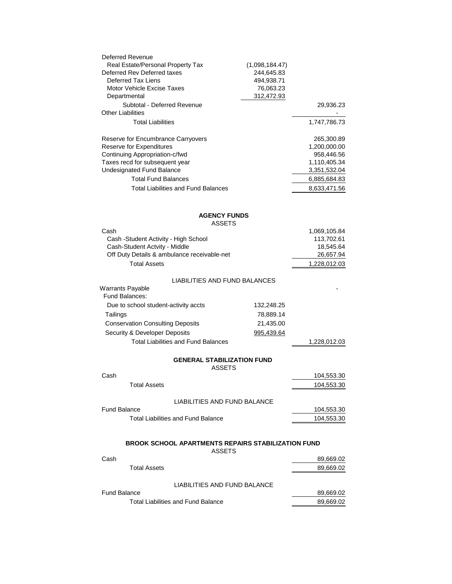| Deferred Revenue<br>Real Estate/Personal Property Tax<br>Deferred Rev Deferred taxes<br>Deferred Tax Liens<br>Motor Vehicle Excise Taxes<br>Departmental | (1,098,184.47)<br>244,645.83<br>494,938.71<br>76,063.23<br>312,472.93 |              |
|----------------------------------------------------------------------------------------------------------------------------------------------------------|-----------------------------------------------------------------------|--------------|
| Subtotal - Deferred Revenue<br><b>Other Liabilities</b>                                                                                                  |                                                                       | 29,936.23    |
| <b>Total Liabilities</b>                                                                                                                                 |                                                                       | 1,747,786.73 |
| Reserve for Encumbrance Carryovers                                                                                                                       |                                                                       | 265,300.89   |
| Reserve for Expenditures                                                                                                                                 |                                                                       | 1,200,000.00 |
| Continuing Appropriation-c/fwd                                                                                                                           |                                                                       | 958,446.56   |
| Taxes recd for subsequent year                                                                                                                           |                                                                       | 1,110,405.34 |
| Undesignated Fund Balance                                                                                                                                |                                                                       | 3,351,532.04 |
| <b>Total Fund Balances</b>                                                                                                                               |                                                                       | 6,885,684.83 |
| <b>Total Liabilities and Fund Balances</b>                                                                                                               |                                                                       | 8,633,471.56 |
| <b>AGENCY FUNDS</b>                                                                                                                                      |                                                                       |              |
| <b>ASSETS</b>                                                                                                                                            |                                                                       |              |
| Cash                                                                                                                                                     |                                                                       | 1,069,105.84 |
| Cash -Student Activity - High School                                                                                                                     |                                                                       | 113,702.61   |
| Cash-Student Actvity - Middle                                                                                                                            |                                                                       | 18,545.64    |
| Off Duty Details & ambulance receivable-net                                                                                                              |                                                                       | 26,657.94    |
| <b>Total Assets</b>                                                                                                                                      |                                                                       | 1,228,012.03 |
| LIABILITIES AND FUND BALANCES<br><b>Warrants Payable</b>                                                                                                 |                                                                       |              |
| Fund Balances:                                                                                                                                           |                                                                       |              |
| Due to school student-activity accts                                                                                                                     | 132,248.25                                                            |              |
| Tailings                                                                                                                                                 | 78,889.14                                                             |              |
| <b>Conservation Consulting Deposits</b>                                                                                                                  | 21,435.00                                                             |              |
| Security & Developer Deposits                                                                                                                            | 995,439.64                                                            |              |
| <b>Total Liabilities and Fund Balances</b>                                                                                                               |                                                                       | 1,228,012.03 |
| <b>GENERAL STABILIZATION FUND</b><br><b>ASSETS</b>                                                                                                       |                                                                       |              |
| Cash                                                                                                                                                     |                                                                       | 104,553.30   |
| <b>Total Assets</b>                                                                                                                                      |                                                                       | 104,553.30   |
|                                                                                                                                                          |                                                                       |              |
| LIABILITIES AND FUND BALANCE                                                                                                                             |                                                                       |              |
| <b>Fund Balance</b>                                                                                                                                      |                                                                       | 104,553.30   |
| <b>Total Liabilities and Fund Balance</b>                                                                                                                |                                                                       | 104,553.30   |
| BROOK SCHOOL APARTMENTS REPAIRS STABILIZATION FUND                                                                                                       |                                                                       |              |
| <b>ASSETS</b>                                                                                                                                            |                                                                       |              |
| Cash                                                                                                                                                     |                                                                       | 89,669.02    |
| <b>Total Assets</b>                                                                                                                                      |                                                                       | 89,669.02    |
| LIABILITIES AND FUND BALANCE                                                                                                                             |                                                                       |              |
| <b>Fund Balance</b>                                                                                                                                      |                                                                       | 89,669.02    |
| <b>Total Liabilities and Fund Balance</b>                                                                                                                |                                                                       | 89,669.02    |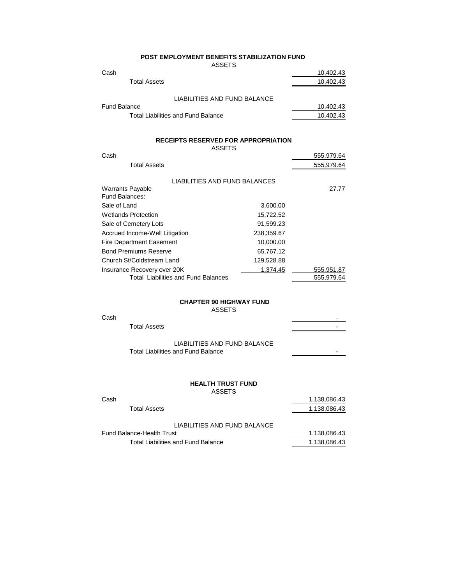| <b>POST EMPLOYMENT BENEFITS STABILIZATION FUND</b> |
|----------------------------------------------------|
| <b>ASSETS</b>                                      |

| ,,,,,,,,,                          |           |
|------------------------------------|-----------|
| Cash                               | 10,402.43 |
| <b>Total Assets</b>                | 10,402.43 |
| LIABILITIES AND FUND BALANCE       |           |
|                                    |           |
| <b>Fund Balance</b>                | 10,402.43 |
| Total Liabilities and Fund Balance | 10,402.43 |

#### **RECEIPTS RESERVED FOR APPROPRIATION**

|      |              | <b>ASSETS</b> |            |
|------|--------------|---------------|------------|
| Cash |              |               | 555.979.64 |
|      | Total Assets |               | 555,979.64 |

| LIABILITIES AND FUND BALANCES              |            |            |
|--------------------------------------------|------------|------------|
| <b>Warrants Payable</b>                    |            | 27.77      |
| Fund Balances:                             |            |            |
| Sale of Land                               | 3,600.00   |            |
| <b>Wetlands Protection</b>                 | 15.722.52  |            |
| Sale of Cemetery Lots                      | 91.599.23  |            |
| Accrued Income-Well Litigation             | 238,359.67 |            |
| <b>Fire Department Easement</b>            | 10,000.00  |            |
| <b>Bond Premiums Reserve</b>               | 65,767.12  |            |
| Church St/Coldstream Land                  | 129,528.88 |            |
| Insurance Recovery over 20K                | 1,374.45   | 555,951.87 |
| <b>Total Liabilities and Fund Balances</b> |            | 555.979.64 |

#### **CHAPTER 90 HIGHWAY FUND**

ASSETS

| Cash |                                           |                          |
|------|-------------------------------------------|--------------------------|
|      | <b>Total Assets</b>                       |                          |
|      | LIABILITIES AND FUND BALANCE              |                          |
|      | <b>Total Liabilities and Fund Balance</b> | $\overline{\phantom{0}}$ |
|      |                                           |                          |

#### **HEALTH TRUST FUND** ASSETS

| Cash                               | 1,138,086.43 |
|------------------------------------|--------------|
| Total Assets                       | 1,138,086.43 |
|                                    |              |
| LIABILITIES AND FUND BALANCE       |              |
| <b>Fund Balance-Health Trust</b>   | 1.138.086.43 |
| Total Liabilities and Fund Balance | 1,138,086.43 |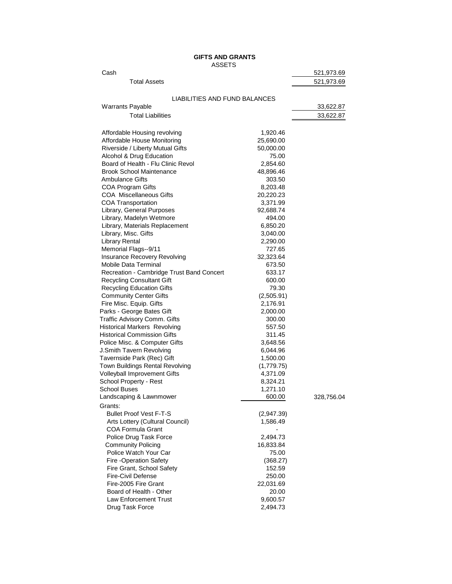**GIFTS AND GRANTS** ASSETS

| Cash                                                                |                    | 521,973.69 |
|---------------------------------------------------------------------|--------------------|------------|
| <b>Total Assets</b>                                                 |                    | 521,973.69 |
|                                                                     |                    |            |
| LIABILITIES AND FUND BALANCES                                       |                    |            |
| <b>Warrants Payable</b>                                             |                    | 33,622.87  |
| <b>Total Liabilities</b>                                            |                    | 33,622.87  |
|                                                                     |                    |            |
| Affordable Housing revolving                                        | 1,920.46           |            |
| Affordable House Monitoring                                         | 25,690.00          |            |
| Riverside / Liberty Mutual Gifts                                    | 50,000.00          |            |
| Alcohol & Drug Education                                            | 75.00              |            |
| Board of Health - Flu Clinic Revol                                  | 2,854.60           |            |
| <b>Brook School Maintenance</b>                                     | 48,896.46          |            |
| Ambulance Gifts                                                     | 303.50             |            |
| <b>COA Program Gifts</b>                                            | 8,203.48           |            |
| <b>COA Miscellaneous Gifts</b>                                      | 20,220.23          |            |
| <b>COA Transportation</b>                                           | 3,371.99           |            |
| Library, General Purposes                                           | 92,688.74          |            |
| Library, Madelyn Wetmore                                            | 494.00             |            |
| Library, Materials Replacement                                      | 6,850.20           |            |
| Library, Misc. Gifts                                                | 3,040.00           |            |
| Library Rental                                                      | 2,290.00           |            |
| Memorial Flags--9/11                                                | 727.65             |            |
| Insurance Recovery Revolving                                        | 32,323.64          |            |
| <b>Mobile Data Terminal</b>                                         | 673.50             |            |
| Recreation - Cambridge Trust Band Concert                           | 633.17             |            |
| <b>Recycling Consultant Gift</b>                                    | 600.00             |            |
| <b>Recycling Education Gifts</b>                                    | 79.30              |            |
| <b>Community Center Gifts</b>                                       | (2,505.91)         |            |
| Fire Misc. Equip. Gifts                                             | 2,176.91           |            |
| Parks - George Bates Gift                                           | 2,000.00<br>300.00 |            |
| Traffic Advisory Comm. Gifts<br><b>Historical Markers Revolving</b> | 557.50             |            |
| <b>Historical Commission Gifts</b>                                  | 311.45             |            |
| Police Misc. & Computer Gifts                                       | 3,648.56           |            |
| J.Smith Tavern Revolving                                            | 6,044.96           |            |
| Tavernside Park (Rec) Gift                                          | 1,500.00           |            |
| Town Buildings Rental Revolving                                     | (1,779.75)         |            |
| Volleyball Improvement Gifts                                        | 4,371.09           |            |
| School Property - Rest                                              | 8,324.21           |            |
| <b>School Buses</b>                                                 | 1,271.10           |            |
| Landscaping & Lawnmower                                             | 600.00             | 328,756.04 |
| Grants:                                                             |                    |            |
| <b>Bullet Proof Vest F-T-S</b>                                      | (2,947.39)         |            |
| Arts Lottery (Cultural Council)                                     | 1,586.49           |            |
| <b>COA Formula Grant</b>                                            |                    |            |
| Police Drug Task Force                                              | 2,494.73           |            |
| <b>Community Policing</b>                                           | 16,833.84          |            |
| Police Watch Your Car                                               | 75.00              |            |
| Fire -Operation Safety                                              | (368.27)           |            |
| Fire Grant, School Safety                                           | 152.59             |            |
| <b>Fire-Civil Defense</b>                                           | 250.00             |            |
| Fire-2005 Fire Grant                                                | 22,031.69          |            |
| Board of Health - Other                                             | 20.00              |            |
| Law Enforcement Trust                                               | 9,600.57           |            |
| Drug Task Force                                                     | 2,494.73           |            |
|                                                                     |                    |            |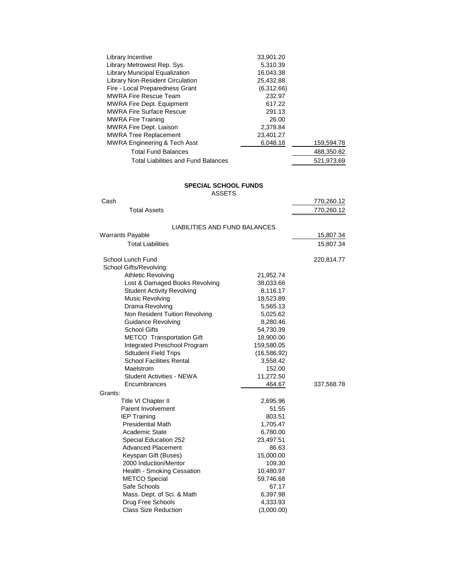| Library Incentive                          | 33,901.20  |            |
|--------------------------------------------|------------|------------|
| Library Metrowest Rep. Sys.                | 5,310.39   |            |
| <b>Library Municipal Equalization</b>      | 16,043.38  |            |
| Library Non-Resident Circulation           | 25,432.88  |            |
| Fire - Local Preparedness Grant            | (6,312.66) |            |
| <b>MWRA Fire Rescue Team</b>               | 232.97     |            |
| <b>MWRA Fire Dept. Equipment</b>           | 617.22     |            |
| <b>MWRA Fire Surface Rescue</b>            | 291.13     |            |
| <b>MWRA Fire Training</b>                  | 26.00      |            |
| <b>MWRA Fire Dept. Liaison</b>             | 2,378.84   |            |
| <b>MWRA Tree Replacement</b>               | 23,401.27  |            |
| MWRA Engineering & Tech Asst               | 6.048.18   | 159,594.78 |
| <b>Total Fund Balances</b>                 |            | 488,350.82 |
| <b>Total Liabilities and Fund Balances</b> |            | 521.973.69 |

# **SPECIAL SCHOOL FUNDS**

ASSETS Cash 770,260.12

| <b>Total Assets</b>               |              | 770,260.12 |
|-----------------------------------|--------------|------------|
| LIABILITIES AND FUND BALANCES     |              |            |
| <b>Warrants Payable</b>           |              | 15,807.34  |
| <b>Total Liabilities</b>          |              | 15,807.34  |
| School Lunch Fund                 |              | 220,814.77 |
| School Gifts/Revolving:           |              |            |
| <b>Athletic Revolving</b>         | 21,952.74    |            |
| Lost & Damaged Books Revolving    | 38,033.66    |            |
| <b>Student Activity Revolving</b> | 8,116.17     |            |
| Music Revolving                   | 18,523.89    |            |
| Drama Revolving                   | 5,565.13     |            |
| Non Resident Tuition Revolving    | 5,025.62     |            |
| Guidance Revolving                | 8,280.46     |            |
| <b>School Gifts</b>               | 54,730.39    |            |
| <b>METCO</b> Transportation Gift  | 18,900.00    |            |
| Integrated Preschool Program      | 159,580.05   |            |
| <b>Sdtudent Field Trips</b>       | (16, 586.92) |            |
| <b>School Facilities Rental</b>   | 3,558.42     |            |
| Maelstrom                         | 152.00       |            |
| Student Activities - NEWA         | 11,272.50    |            |
| Encumbrances                      | 464.67       | 337,568.78 |
| Grants:                           |              |            |
| Title VI Chapter II               | 2,695.96     |            |
| Parent Involvement                | 51.55        |            |
| <b>IEP Training</b>               | 803.51       |            |
| <b>Presidential Math</b>          | 1,705.47     |            |
| Academic State                    | 6,780.00     |            |
| Special Education 252             | 23,497.51    |            |
| <b>Advanced Placement</b>         | 86.63        |            |
| Keyspan Gift (Buses)              | 15,000.00    |            |
| 2000 Induction/Mentor             | 109.30       |            |
| Health - Smoking Cessation        | 10,480.97    |            |
| <b>METCO Special</b>              | 59,746.68    |            |
| Safe Schools                      | 67.17        |            |
| Mass. Dept. of Sci. & Math        | 6,397.98     |            |
| Drug Free Schools                 | 4,333.93     |            |
| <b>Class Size Reduction</b>       | (3,000.00)   |            |
|                                   |              |            |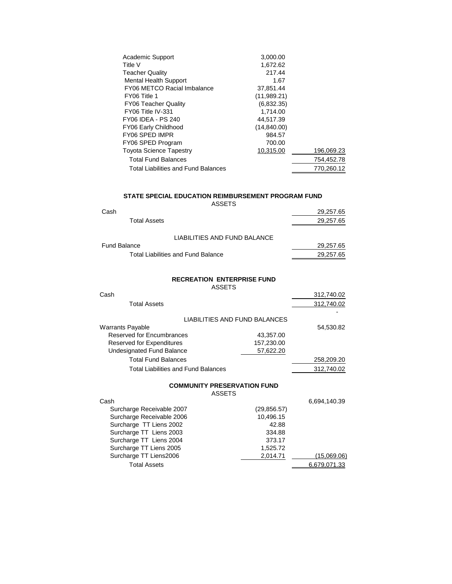| Academic Support                    | 3,000.00     |            |
|-------------------------------------|--------------|------------|
| Title V                             | 1,672.62     |            |
| <b>Teacher Quality</b>              | 217.44       |            |
| <b>Mental Health Support</b>        | 1.67         |            |
| FY06 METCO Racial Imbalance         | 37,851.44    |            |
| FY06 Title 1                        | (11,989.21)  |            |
| <b>FY06 Teacher Quality</b>         | (6,832.35)   |            |
| FY06 Title IV-331                   | 1,714.00     |            |
| FY06 IDEA - PS 240                  | 44,517.39    |            |
| FY06 Early Childhood                | (14, 840.00) |            |
| FY06 SPED IMPR                      | 984.57       |            |
| FY06 SPED Program                   | 700.00       |            |
| <b>Toyota Science Tapestry</b>      | 10,315.00    | 196,069.23 |
| <b>Total Fund Balances</b>          |              | 754,452.78 |
| Total Liabilities and Fund Balances |              | 770,260.12 |

# **STATE SPECIAL EDUCATION REIMBURSEMENT PROGRAM FUND**

ASSETS

| Cash                                      | 29,257.65 |
|-------------------------------------------|-----------|
| Total Assets                              | 29,257.65 |
| LIABILITIES AND FUND BALANCE              |           |
| Fund Balance                              | 29,257.65 |
| <b>Total Liabilities and Fund Balance</b> | 29,257.65 |

#### **RECREATION ENTERPRISE FUND**

ASSETS

| Cash                                       |                               | 312,740.02 |
|--------------------------------------------|-------------------------------|------------|
| <b>Total Assets</b>                        |                               | 312,740.02 |
|                                            | LIABILITIES AND FUND BALANCES |            |
| Warrants Payable                           |                               | 54,530.82  |
| <b>Reserved for Encumbrances</b>           | 43,357.00                     |            |
| <b>Reserved for Expenditures</b>           | 157,230.00                    |            |
| Undesignated Fund Balance                  | 57,622.20                     |            |
| <b>Total Fund Balances</b>                 |                               | 258,209.20 |
| <b>Total Liabilities and Fund Balances</b> |                               | 312,740.02 |

#### **COMMUNITY PRESERVATION FUND**

| Cash                      |              | 6,694,140.39 |
|---------------------------|--------------|--------------|
| Surcharge Receivable 2007 | (29, 856.57) |              |
| Surcharge Receivable 2006 | 10,496.15    |              |
| Surcharge TT Liens 2002   | 42.88        |              |
| Surcharge TT Liens 2003   | 334.88       |              |
| Surcharge TT Liens 2004   | 373.17       |              |
| Surcharge TT Liens 2005   | 1,525.72     |              |
| Surcharge TT Liens2006    | 2,014.71     | (15,069.06)  |
| <b>Total Assets</b>       |              | 6,679,071.33 |
|                           |              |              |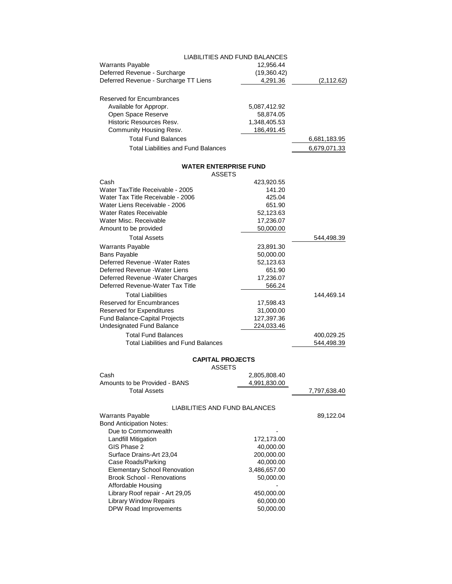|                                       | LIABILITIES AND FUND BALANCES |              |
|---------------------------------------|-------------------------------|--------------|
| Warrants Payable                      | 12,956.44                     |              |
| Deferred Revenue - Surcharge          | (19,360.42)                   |              |
| Deferred Revenue - Surcharge TT Liens | 4,291.36                      | (2, 112.62)  |
| Reserved for Encumbrances             |                               |              |
| Available for Appropr.                | 5,087,412.92                  |              |
| Open Space Reserve                    | 58,874.05                     |              |
| Historic Resources Resv.              | 1,348,405.53                  |              |
| Community Housing Resv.               | 186,491.45                    |              |
| <b>Total Fund Balances</b>            |                               | 6,681,183.95 |
| Total Liabilities and Fund Balances   |                               | 6.679.071.33 |

#### **WATER ENTERPRISE FUND**

| 544,498.39   |
|--------------|
|              |
|              |
|              |
|              |
|              |
|              |
| 144,469.14   |
|              |
|              |
|              |
|              |
|              |
| 400,029.25   |
| 544,498.39   |
|              |
|              |
|              |
|              |
| 7,797,638.40 |
|              |
|              |
| 89,122.04    |
|              |
|              |
|              |
|              |
|              |
|              |
|              |
|              |
|              |
|              |
|              |
|              |
|              |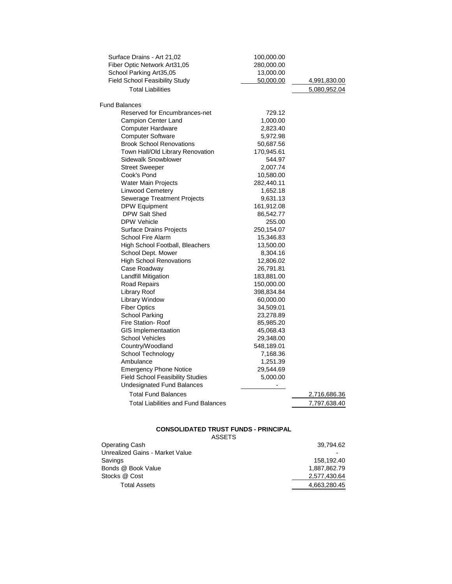| Surface Drains - Art 21,02                                          | 100,000.00               |              |
|---------------------------------------------------------------------|--------------------------|--------------|
| Fiber Optic Network Art31,05                                        | 280,000.00               |              |
| School Parking Art35,05                                             | 13,000.00                |              |
| Field School Feasibility Study                                      | 50,000.00                | 4,991,830.00 |
| <b>Total Liabilities</b>                                            |                          | 5,080,952.04 |
| <b>Fund Balances</b>                                                |                          |              |
| Reserved for Encumbrances-net                                       | 729.12                   |              |
|                                                                     |                          |              |
| Campion Center Land<br>Computer Hardware                            | 1,000.00                 |              |
| <b>Computer Software</b>                                            | 2,823.40                 |              |
|                                                                     | 5,972.98                 |              |
| <b>Brook School Renovations</b><br>Town Hall/Old Library Renovation | 50,687.56                |              |
| <b>Sidewalk Snowblower</b>                                          | 170,945.61               |              |
| <b>Street Sweeper</b>                                               | 544.97<br>2,007.74       |              |
| Cook's Pond                                                         |                          |              |
|                                                                     | 10,580.00                |              |
| Water Main Projects                                                 | 282,440.11               |              |
| <b>Linwood Cemetery</b>                                             | 1,652.18                 |              |
| <b>Sewerage Treatment Projects</b>                                  | 9,631.13                 |              |
| <b>DPW Equipment</b>                                                | 161,912.08               |              |
| DPW Salt Shed                                                       | 86,542.77                |              |
| <b>DPW Vehicle</b>                                                  | 255.00                   |              |
| <b>Surface Drains Projects</b>                                      | 250,154.07               |              |
| <b>School Fire Alarm</b>                                            | 15,346.83                |              |
| High School Football, Bleachers                                     | 13,500.00                |              |
| School Dept. Mower                                                  | 8,304.16                 |              |
| <b>High School Renovations</b>                                      | 12,806.02                |              |
| Case Roadway                                                        | 26,791.81                |              |
| Landfill Mitigation                                                 | 183,881.00               |              |
| Road Repairs                                                        | 150,000.00               |              |
| <b>Library Roof</b>                                                 | 398,834.84               |              |
| <b>Library Window</b>                                               | 60,000.00                |              |
| <b>Fiber Optics</b>                                                 | 34,509.01                |              |
| <b>School Parking</b>                                               | 23,278.89                |              |
| <b>Fire Station- Roof</b>                                           | 85,985.20                |              |
| <b>GIS Implementaation</b>                                          | 45,068.43                |              |
| <b>School Vehicles</b>                                              | 29,348.00                |              |
| Country/Woodland                                                    | 548,189.01               |              |
| School Technology                                                   | 7,168.36                 |              |
| Ambulance                                                           | 1,251.39                 |              |
| <b>Emergency Phone Notice</b>                                       | 29,544.69                |              |
| <b>Field School Feasibility Studies</b>                             | 5,000.00                 |              |
| <b>Undesignated Fund Balances</b>                                   | $\overline{\phantom{a}}$ |              |
| <b>Total Fund Balances</b>                                          |                          | 2,716,686.36 |
| <b>Total Liabilities and Fund Balances</b>                          |                          | 7,797,638.40 |

# **CONSOLIDATED TRUST FUNDS - PRINCIPAL**

| Operating Cash                  | 39.794.62    |
|---------------------------------|--------------|
| Unrealized Gains - Market Value |              |
| Savings                         | 158.192.40   |
| Bonds @ Book Value              | 1.887.862.79 |
| Stocks @ Cost                   | 2,577,430.64 |
| <b>Total Assets</b>             | 4,663,280.45 |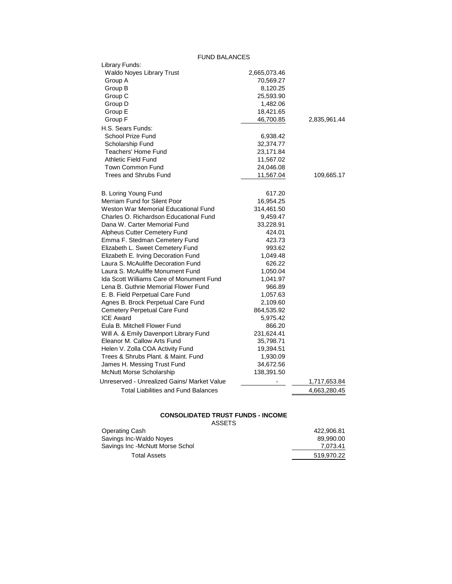FUND BALANCES

| <b>FUND BALANCES</b>                            |              |              |
|-------------------------------------------------|--------------|--------------|
| Library Funds:                                  |              |              |
| Waldo Noyes Library Trust                       | 2,665,073.46 |              |
| Group A                                         | 70,569.27    |              |
| Group B                                         | 8,120.25     |              |
| Group C                                         | 25,593.90    |              |
| Group D                                         | 1,482.06     |              |
| Group E                                         | 18,421.65    |              |
| Group F                                         | 46,700.85    | 2,835,961.44 |
| H.S. Sears Funds:                               |              |              |
| School Prize Fund                               | 6,938.42     |              |
| Scholarship Fund                                | 32,374.77    |              |
| Teachers' Home Fund                             | 23,171.84    |              |
| Athletic Field Fund                             | 11,567.02    |              |
| Town Common Fund                                | 24,046.08    |              |
| Trees and Shrubs Fund                           | 11,567.04    | 109,665.17   |
|                                                 |              |              |
| B. Loring Young Fund                            | 617.20       |              |
| Merriam Fund for Silent Poor                    | 16,954.25    |              |
| Weston War Memorial Educational Fund            | 314,461.50   |              |
| Charles O. Richardson Educational Fund          | 9,459.47     |              |
| Dana W. Carter Memorial Fund                    | 33,228.91    |              |
| Alpheus Cutter Cemetery Fund                    | 424.01       |              |
| Emma F. Stedman Cemetery Fund                   | 423.73       |              |
| Elizabeth L. Sweet Cemetery Fund                | 993.62       |              |
| Elizabeth E. Irving Decoration Fund             | 1,049.48     |              |
| Laura S. McAuliffe Decoration Fund              | 626.22       |              |
| Laura S. McAuliffe Monument Fund                | 1,050.04     |              |
| <b>Ida Scott Williams Care of Monument Fund</b> | 1,041.97     |              |
| Lena B. Guthrie Memorial Flower Fund            | 966.89       |              |
| E. B. Field Perpetual Care Fund                 | 1,057.63     |              |
| Agnes B. Brock Perpetual Care Fund              | 2,109.60     |              |
| Cemetery Perpetual Care Fund                    | 864,535.92   |              |
| <b>ICE Award</b>                                | 5,975.42     |              |
| Eula B. Mitchell Flower Fund                    | 866.20       |              |
| Will A. & Emily Davenport Library Fund          | 231,624.41   |              |
| Eleanor M. Callow Arts Fund                     | 35,798.71    |              |
| Helen V. Zolla COA Activity Fund                | 19,394.51    |              |
| Trees & Shrubs Plant. & Maint. Fund             | 1,930.09     |              |
| James H. Messing Trust Fund                     | 34,672.56    |              |
| McNutt Morse Scholarship                        | 138,391.50   |              |
| Unreserved - Unrealized Gains/ Market Value     |              | 1,717,653.84 |
| <b>Total Liabilities and Fund Balances</b>      |              | 4,663,280.45 |
|                                                 |              |              |

# **CONSOLIDATED TRUST FUNDS - INCOME**

| Operating Cash                  | 422.906.81 |
|---------------------------------|------------|
| Savings Inc-Waldo Noves         | 89.990.00  |
| Savings Inc -McNutt Morse Schol | 7,073.41   |
| Total Assets                    | 519.970.22 |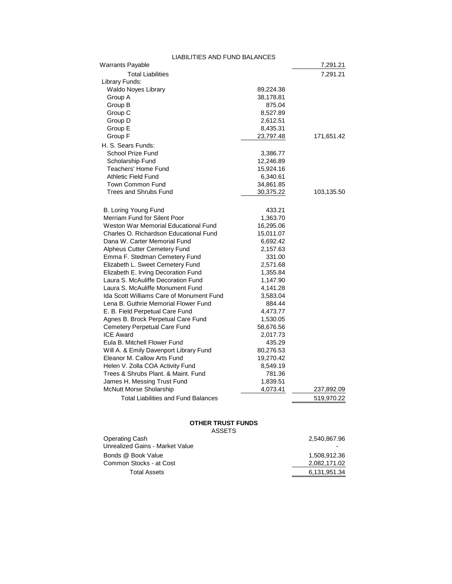| LIABILITIES AND FUND BALANCES              |           |            |
|--------------------------------------------|-----------|------------|
| Warrants Payable                           |           | 7,291.21   |
| <b>Total Liabilities</b>                   |           | 7,291.21   |
| Library Funds:                             |           |            |
| Waldo Noyes Library                        | 89,224.38 |            |
| Group A                                    | 38,178.81 |            |
| Group B                                    | 875.04    |            |
| Group C                                    | 8,527.89  |            |
| Group D                                    | 2,612.51  |            |
| Group E                                    | 8,435.31  |            |
| Group F                                    | 23,797.48 | 171,651.42 |
| H. S. Sears Funds:                         |           |            |
| School Prize Fund                          | 3,386.77  |            |
| Scholarship Fund                           | 12,246.89 |            |
| Teachers' Home Fund                        | 15,924.16 |            |
| Athletic Field Fund                        | 6,340.61  |            |
| <b>Town Common Fund</b>                    | 34,861.85 |            |
| Trees and Shrubs Fund                      | 30,375.22 | 103,135.50 |
|                                            |           |            |
| B. Loring Young Fund                       | 433.21    |            |
| Merriam Fund for Silent Poor               | 1,363.70  |            |
| Weston War Memorial Educational Fund       | 16,295.06 |            |
| Charles O. Richardson Educational Fund     | 15,011.07 |            |
| Dana W. Carter Memorial Fund               | 6,692.42  |            |
| Alpheus Cutter Cemetery Fund               | 2,157.63  |            |
| Emma F. Stedman Cemetery Fund              | 331.00    |            |
| Elizabeth L. Sweet Cemetery Fund           | 2,571.68  |            |
| Elizabeth E. Irving Decoration Fund        | 1,355.84  |            |
| Laura S. McAuliffe Decoration Fund         | 1,147.90  |            |
| Laura S. McAuliffe Monument Fund           | 4,141.28  |            |
| Ida Scott Williams Care of Monument Fund   | 3,583.04  |            |
| Lena B. Guthrie Memorial Flower Fund       | 884.44    |            |
| E. B. Field Perpetual Care Fund            | 4,473.77  |            |
| Agnes B. Brock Perpetual Care Fund         | 1,530.05  |            |
| Cemetery Perpetual Care Fund               | 58,676.56 |            |
| <b>ICE Award</b>                           | 2,017.73  |            |
| Eula B. Mitchell Flower Fund               | 435.29    |            |
| Will A. & Emily Davenport Library Fund     | 80,276.53 |            |
| Eleanor M. Callow Arts Fund                | 19,270.42 |            |
| Helen V. Zolla COA Activity Fund           | 8,549.19  |            |
| Trees & Shrubs Plant. & Maint. Fund        | 781.36    |            |
| James H. Messing Trust Fund                | 1,839.51  |            |
| <b>McNutt Morse Sholarship</b>             | 4,073.41  | 237,892.09 |
| <b>Total Liabilities and Fund Balances</b> |           | 519,970.22 |
|                                            |           |            |

# **OTHER TRUST FUNDS**

| ASSETS |
|--------|
|--------|

| Operating Cash                  | 2.540.867.96 |
|---------------------------------|--------------|
| Unrealized Gains - Market Value |              |
| Bonds @ Book Value              | 1,508,912.36 |
| Common Stocks - at Cost         | 2.082.171.02 |
| <b>Total Assets</b>             | 6,131,951.34 |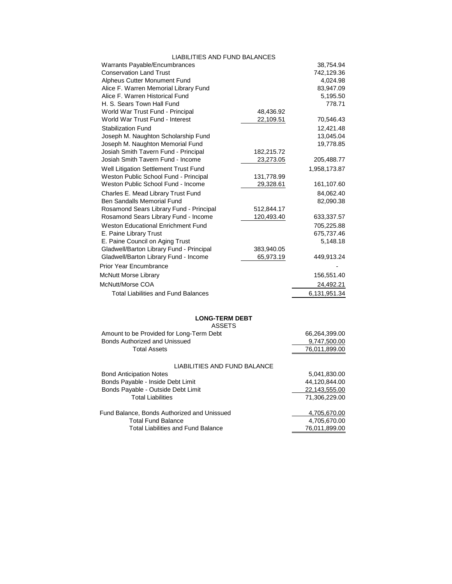| <b>LIABILITIES AND FUND BALANCES</b>       |            |              |
|--------------------------------------------|------------|--------------|
| Warrants Payable/Encumbrances              |            | 38,754.94    |
| <b>Conservation Land Trust</b>             |            | 742,129.36   |
| Alpheus Cutter Monument Fund               |            | 4,024.98     |
| Alice F. Warren Memorial Library Fund      |            | 83,947.09    |
| Alice F. Warren Historical Fund            |            | 5,195.50     |
| H. S. Sears Town Hall Fund                 |            | 778.71       |
| World War Trust Fund - Principal           | 48,436.92  |              |
| World War Trust Fund - Interest            | 22,109.51  | 70,546.43    |
| <b>Stabilization Fund</b>                  |            | 12,421.48    |
| Joseph M. Naughton Scholarship Fund        |            | 13,045.04    |
| Joseph M. Naughton Memorial Fund           |            | 19,778.85    |
| Josiah Smith Tavern Fund - Principal       | 182,215.72 |              |
| Josiah Smith Tavern Fund - Income          | 23,273.05  | 205,488.77   |
| Well Litigation Settlement Trust Fund      |            | 1,958,173.87 |
| Weston Public School Fund - Principal      | 131,778.99 |              |
| Weston Public School Fund - Income         | 29,328.61  | 161,107.60   |
| Charles E. Mead Library Trust Fund         |            | 84,062.40    |
| Ben Sandalls Memorial Fund                 |            | 82,090.38    |
| Rosamond Sears Library Fund - Principal    | 512,844.17 |              |
| Rosamond Sears Library Fund - Income       | 120,493.40 | 633,337.57   |
| <b>Weston Educational Enrichment Fund</b>  |            | 705,225.88   |
| E. Paine Library Trust                     |            | 675,737.46   |
| E. Paine Council on Aging Trust            |            | 5,148.18     |
| Gladwell/Barton Library Fund - Principal   | 383,940.05 |              |
| Gladwell/Barton Library Fund - Income      | 65,973.19  | 449,913.24   |
| Prior Year Encumbrance                     |            |              |
| <b>McNutt Morse Library</b>                |            | 156,551.40   |
| McNutt/Morse COA                           |            | 24,492.21    |
| <b>Total Liabilities and Fund Balances</b> |            | 6,131,951.34 |

#### **LONG-TERM DEBT**

| ASSETS                                   |                                                                                                                                                                                                                                                                                                                                                                                      |
|------------------------------------------|--------------------------------------------------------------------------------------------------------------------------------------------------------------------------------------------------------------------------------------------------------------------------------------------------------------------------------------------------------------------------------------|
| Amount to be Provided for Long-Term Debt | 66.264.399.00                                                                                                                                                                                                                                                                                                                                                                        |
| Bonds Authorized and Unissued            | 9,747,500.00                                                                                                                                                                                                                                                                                                                                                                         |
| <b>Total Assets</b>                      | 76,011,899.00                                                                                                                                                                                                                                                                                                                                                                        |
|                                          |                                                                                                                                                                                                                                                                                                                                                                                      |
| LIABILITIES AND FUND BALANCE             |                                                                                                                                                                                                                                                                                                                                                                                      |
| <b>Bond Anticipation Notes</b>           | 5,041,830.00                                                                                                                                                                                                                                                                                                                                                                         |
| Dende Deuphle Juside Debt Limit          | $\overline{A}$ $\overline{A}$ $\overline{A}$ $\overline{A}$ $\overline{A}$ $\overline{A}$ $\overline{A}$ $\overline{A}$ $\overline{A}$ $\overline{A}$ $\overline{A}$ $\overline{A}$ $\overline{A}$ $\overline{A}$ $\overline{A}$ $\overline{A}$ $\overline{A}$ $\overline{A}$ $\overline{A}$ $\overline{A}$ $\overline{A}$ $\overline{A}$ $\overline{A}$ $\overline{A}$ $\overline{$ |

| Bonds Payable - Inside Debt Limit           | 44.120.844.00 |
|---------------------------------------------|---------------|
| Bonds Payable - Outside Debt Limit          | 22,143,555.00 |
| <b>Total Liabilities</b>                    | 71.306.229.00 |
| Fund Balance, Bonds Authorized and Unissued | 4,705,670.00  |
| <b>Total Fund Balance</b>                   | 4.705.670.00  |
| <b>Total Liabilities and Fund Balance</b>   | 76,011,899.00 |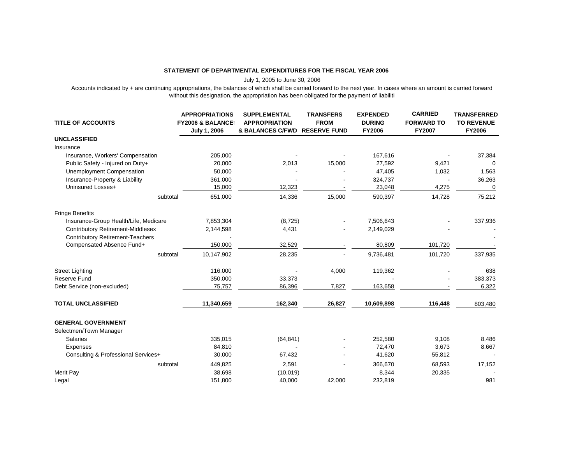#### **STATEMENT OF DEPARTMENTAL EXPENDITURES FOR THE FISCAL YEAR 2006**

July 1, 2005 to June 30, 2006

Accounts indicated by + are continuing appropriations, the balances of which shall be carried forward to the next year. In cases where an amount is carried forward without this designation, the appropriation has been obligated for the payment of liabiliti

| <b>TITLE OF ACCOUNTS</b>                 | <b>APPROPRIATIONS</b><br><b>FY2006 &amp; BALANCE!</b><br>July 1, 2006 | <b>SUPPLEMENTAL</b><br><b>APPROPRIATION</b><br>& BALANCES C/FWD | <b>TRANSFERS</b><br><b>FROM</b><br><b>RESERVE FUND</b> | <b>EXPENDED</b><br><b>DURING</b><br><b>FY2006</b> | <b>CARRIED</b><br><b>FORWARD TO</b><br><b>FY2007</b> | <b>TRANSFERRED</b><br><b>TO REVENUE</b><br><b>FY2006</b> |
|------------------------------------------|-----------------------------------------------------------------------|-----------------------------------------------------------------|--------------------------------------------------------|---------------------------------------------------|------------------------------------------------------|----------------------------------------------------------|
| <b>UNCLASSIFIED</b>                      |                                                                       |                                                                 |                                                        |                                                   |                                                      |                                                          |
| Insurance                                |                                                                       |                                                                 |                                                        |                                                   |                                                      |                                                          |
| Insurance, Workers' Compensation         | 205,000                                                               |                                                                 |                                                        | 167,616                                           |                                                      | 37,384                                                   |
| Public Safety - Injured on Duty+         | 20,000                                                                | 2,013                                                           | 15,000                                                 | 27,592                                            | 9,421                                                | 0                                                        |
| Unemployment Compensation                | 50,000                                                                |                                                                 |                                                        | 47,405                                            | 1,032                                                | 1,563                                                    |
| Insurance-Property & Liability           | 361,000                                                               |                                                                 |                                                        | 324,737                                           |                                                      | 36,263                                                   |
| Uninsured Losses+                        | 15,000                                                                | 12,323                                                          |                                                        | 23,048                                            | 4,275                                                | $\Omega$                                                 |
| subtotal                                 | 651,000                                                               | 14,336                                                          | 15,000                                                 | 590,397                                           | 14,728                                               | 75,212                                                   |
| <b>Fringe Benefits</b>                   |                                                                       |                                                                 |                                                        |                                                   |                                                      |                                                          |
| Insurance-Group Health/Life, Medicare    | 7,853,304                                                             | (8, 725)                                                        |                                                        | 7,506,643                                         |                                                      | 337,936                                                  |
| <b>Contributory Retirement-Middlesex</b> | 2,144,598                                                             | 4,431                                                           |                                                        | 2,149,029                                         |                                                      |                                                          |
| <b>Contributory Retirement-Teachers</b>  |                                                                       |                                                                 |                                                        |                                                   |                                                      |                                                          |
| Compensated Absence Fund+                | 150,000                                                               | 32,529                                                          |                                                        | 80,809                                            | 101,720                                              |                                                          |
| subtotal                                 | 10,147,902                                                            | 28,235                                                          |                                                        | 9,736,481                                         | 101,720                                              | 337,935                                                  |
| <b>Street Lighting</b>                   | 116,000                                                               |                                                                 | 4,000                                                  | 119,362                                           |                                                      | 638                                                      |
| <b>Reserve Fund</b>                      | 350,000                                                               | 33,373                                                          |                                                        |                                                   |                                                      | 383,373                                                  |
| Debt Service (non-excluded)              | 75,757                                                                | 86,396                                                          | 7,827                                                  | 163,658                                           |                                                      | 6,322                                                    |
| <b>TOTAL UNCLASSIFIED</b>                | 11,340,659                                                            | 162,340                                                         | 26,827                                                 | 10,609,898                                        | 116,448                                              | 803,480                                                  |
| <b>GENERAL GOVERNMENT</b>                |                                                                       |                                                                 |                                                        |                                                   |                                                      |                                                          |
| Selectmen/Town Manager                   |                                                                       |                                                                 |                                                        |                                                   |                                                      |                                                          |
| Salaries                                 | 335,015                                                               | (64, 841)                                                       |                                                        | 252,580                                           | 9,108                                                | 8,486                                                    |
| <b>Expenses</b>                          | 84,810                                                                |                                                                 |                                                        | 72,470                                            | 3,673                                                | 8,667                                                    |
| Consulting & Professional Services+      | 30,000                                                                | 67,432                                                          |                                                        | 41,620                                            | 55,812                                               |                                                          |
| subtotal                                 | 449,825                                                               | 2,591                                                           |                                                        | 366,670                                           | 68,593                                               | 17,152                                                   |
| <b>Merit Pay</b>                         | 38,698                                                                | (10, 019)                                                       |                                                        | 8,344                                             | 20,335                                               |                                                          |
| Legal                                    | 151,800                                                               | 40,000                                                          | 42,000                                                 | 232,819                                           |                                                      | 981                                                      |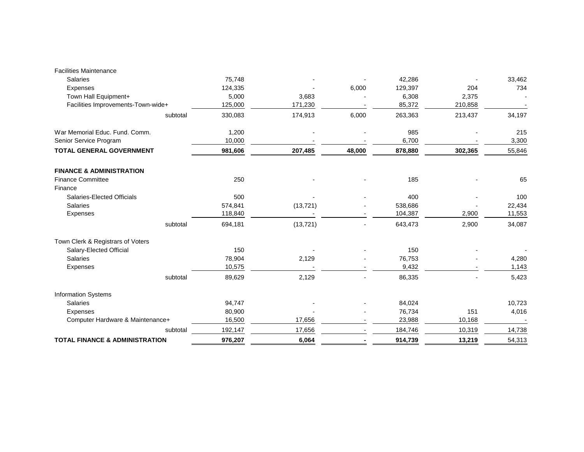| <b>Facilities Maintenance</b>             |         |           |        |         |         |        |
|-------------------------------------------|---------|-----------|--------|---------|---------|--------|
| <b>Salaries</b>                           | 75,748  |           |        | 42,286  |         | 33,462 |
| <b>Expenses</b>                           | 124,335 |           | 6,000  | 129,397 | 204     | 734    |
| Town Hall Equipment+                      | 5,000   | 3,683     |        | 6,308   | 2,375   |        |
| Facilities Improvements-Town-wide+        | 125,000 | 171,230   |        | 85,372  | 210,858 |        |
| subtotal                                  | 330,083 | 174,913   | 6,000  | 263,363 | 213,437 | 34,197 |
| War Memorial Educ. Fund. Comm.            | 1,200   |           |        | 985     |         | 215    |
| Senior Service Program                    | 10,000  |           |        | 6,700   |         | 3,300  |
| <b>TOTAL GENERAL GOVERNMENT</b>           | 981,606 | 207,485   | 48,000 | 878,880 | 302,365 | 55,846 |
| <b>FINANCE &amp; ADMINISTRATION</b>       |         |           |        |         |         |        |
| <b>Finance Committee</b>                  | 250     |           |        | 185     |         | 65     |
| Finance                                   |         |           |        |         |         |        |
| Salaries-Elected Officials                | 500     |           |        | 400     |         | 100    |
| <b>Salaries</b>                           | 574,841 | (13, 721) |        | 538,686 |         | 22,434 |
| <b>Expenses</b>                           | 118,840 |           |        | 104,387 | 2,900   | 11,553 |
| subtotal                                  | 694,181 | (13, 721) |        | 643,473 | 2,900   | 34,087 |
| Town Clerk & Registrars of Voters         |         |           |        |         |         |        |
| Salary-Elected Official                   | 150     |           |        | 150     |         |        |
| <b>Salaries</b>                           | 78,904  | 2,129     |        | 76,753  |         | 4,280  |
| <b>Expenses</b>                           | 10,575  |           |        | 9,432   |         | 1,143  |
| subtotal                                  | 89,629  | 2,129     |        | 86,335  |         | 5,423  |
| Information Systems                       |         |           |        |         |         |        |
| <b>Salaries</b>                           | 94,747  |           |        | 84,024  |         | 10,723 |
| <b>Expenses</b>                           | 80,900  |           |        | 76,734  | 151     | 4,016  |
| Computer Hardware & Maintenance+          | 16,500  | 17,656    |        | 23,988  | 10,168  |        |
| subtotal                                  | 192,147 | 17,656    |        | 184,746 | 10,319  | 14,738 |
| <b>TOTAL FINANCE &amp; ADMINISTRATION</b> | 976,207 | 6,064     |        | 914,739 | 13,219  | 54,313 |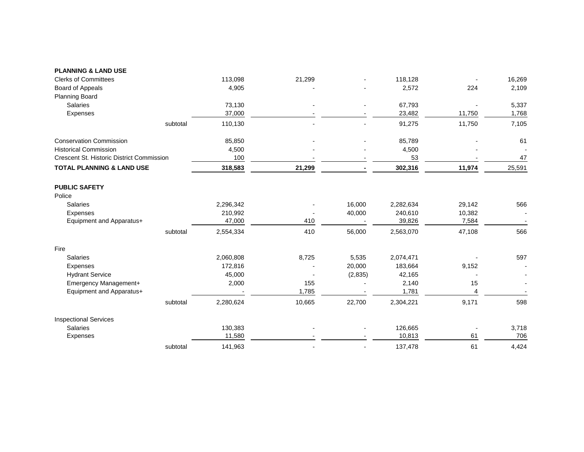| <b>PLANNING &amp; LAND USE</b>            |          |           |        |          |           |        |        |
|-------------------------------------------|----------|-----------|--------|----------|-----------|--------|--------|
| <b>Clerks of Committees</b>               |          | 113,098   | 21,299 |          | 118,128   |        | 16,269 |
| Board of Appeals                          |          | 4,905     |        |          | 2,572     | 224    | 2,109  |
| <b>Planning Board</b>                     |          |           |        |          |           |        |        |
| <b>Salaries</b>                           |          | 73,130    |        |          | 67,793    |        | 5,337  |
| Expenses                                  |          | 37,000    |        |          | 23,482    | 11,750 | 1,768  |
|                                           | subtotal | 110,130   |        |          | 91,275    | 11,750 | 7,105  |
| <b>Conservation Commission</b>            |          | 85,850    |        |          | 85,789    |        | 61     |
| <b>Historical Commission</b>              |          | 4,500     |        |          | 4,500     |        |        |
| Crescent St. Historic District Commission |          | 100       |        |          | 53        |        | 47     |
| <b>TOTAL PLANNING &amp; LAND USE</b>      |          | 318,583   | 21,299 |          | 302,316   | 11,974 | 25,591 |
| <b>PUBLIC SAFETY</b>                      |          |           |        |          |           |        |        |
| Police                                    |          |           |        |          |           |        |        |
| <b>Salaries</b>                           |          | 2,296,342 |        | 16,000   | 2,282,634 | 29,142 | 566    |
| Expenses                                  |          | 210,992   |        | 40,000   | 240,610   | 10,382 |        |
| Equipment and Apparatus+                  |          | 47,000    | 410    |          | 39,826    | 7,584  |        |
|                                           | subtotal | 2,554,334 | 410    | 56,000   | 2,563,070 | 47,108 | 566    |
| Fire                                      |          |           |        |          |           |        |        |
| <b>Salaries</b>                           |          | 2,060,808 | 8,725  | 5,535    | 2,074,471 |        | 597    |
| Expenses                                  |          | 172,816   |        | 20,000   | 183,664   | 9,152  |        |
| <b>Hydrant Service</b>                    |          | 45,000    |        | (2, 835) | 42,165    |        |        |
| Emergency Management+                     |          | 2,000     | 155    |          | 2,140     | 15     |        |
| Equipment and Apparatus+                  |          |           | 1,785  |          | 1,781     | 4      |        |
|                                           | subtotal | 2,280,624 | 10,665 | 22,700   | 2,304,221 | 9,171  | 598    |
| <b>Inspectional Services</b>              |          |           |        |          |           |        |        |
| Salaries                                  |          | 130,383   |        |          | 126,665   |        | 3,718  |
| Expenses                                  |          | 11,580    |        |          | 10,813    | 61     | 706    |
|                                           | subtotal | 141,963   |        |          | 137,478   | 61     | 4,424  |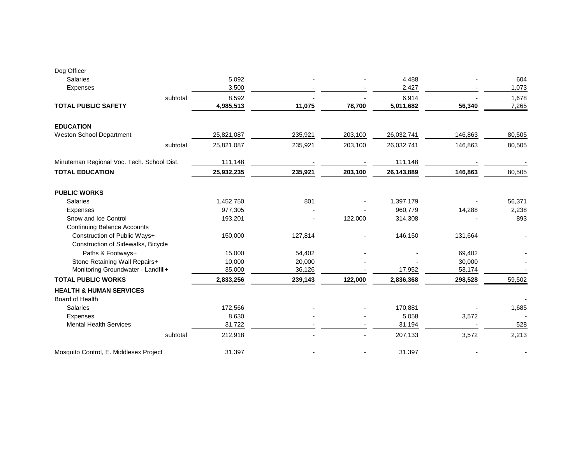| Dog Officer                                           |            |         |         |            |         |        |
|-------------------------------------------------------|------------|---------|---------|------------|---------|--------|
| <b>Salaries</b>                                       | 5,092      |         |         | 4,488      |         | 604    |
| <b>Expenses</b>                                       | 3,500      |         |         | 2,427      |         | 1,073  |
| subtotal                                              | 8,592      |         |         | 6,914      |         | 1,678  |
| <b>TOTAL PUBLIC SAFETY</b>                            | 4,985,513  | 11,075  | 78,700  | 5,011,682  | 56,340  | 7,265  |
| <b>EDUCATION</b>                                      |            |         |         |            |         |        |
| Weston School Department                              | 25,821,087 | 235,921 | 203,100 | 26,032,741 | 146,863 | 80,505 |
| subtotal                                              | 25,821,087 | 235,921 | 203,100 | 26,032,741 | 146,863 | 80,505 |
| Minuteman Regional Voc. Tech. School Dist.            | 111,148    |         |         | 111,148    |         |        |
| <b>TOTAL EDUCATION</b>                                | 25,932,235 | 235,921 | 203,100 | 26,143,889 | 146,863 | 80,505 |
| <b>PUBLIC WORKS</b>                                   |            |         |         |            |         |        |
| <b>Salaries</b>                                       | 1,452,750  | 801     |         | 1,397,179  |         | 56,371 |
| <b>Expenses</b>                                       | 977,305    |         |         | 960,779    | 14,288  | 2,238  |
| Snow and Ice Control                                  | 193,201    |         | 122,000 | 314,308    |         | 893    |
| <b>Continuing Balance Accounts</b>                    |            |         |         |            |         |        |
| Construction of Public Ways+                          | 150,000    | 127,814 |         | 146,150    | 131,664 |        |
| Construction of Sidewalks, Bicycle                    |            |         |         |            |         |        |
| Paths & Footways+                                     | 15,000     | 54,402  |         |            | 69,402  |        |
| Stone Retaining Wall Repairs+                         | 10,000     | 20,000  |         |            | 30,000  |        |
| Monitoring Groundwater - Landfill+                    | 35,000     | 36,126  |         | 17,952     | 53,174  |        |
| <b>TOTAL PUBLIC WORKS</b>                             | 2,833,256  | 239,143 | 122,000 | 2,836,368  | 298,528 | 59,502 |
| <b>HEALTH &amp; HUMAN SERVICES</b><br>Board of Health |            |         |         |            |         |        |
| <b>Salaries</b>                                       | 172,566    |         |         | 170,881    |         | 1,685  |
| <b>Expenses</b>                                       | 8,630      |         |         | 5,058      | 3,572   |        |
| <b>Mental Health Services</b>                         | 31,722     |         |         | 31,194     |         | 528    |
| subtotal                                              | 212,918    |         |         | 207,133    | 3,572   | 2,213  |
| Mosquito Control, E. Middlesex Project                | 31,397     |         |         | 31,397     |         |        |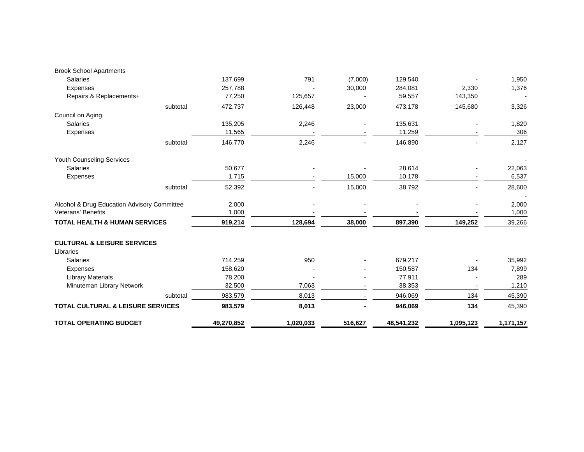| <b>TOTAL OPERATING BUDGET</b>                       | 49,270,852        | 1,020,033 | 516,627 | 48,541,232        | 1,095,123        | 1,171,157 |
|-----------------------------------------------------|-------------------|-----------|---------|-------------------|------------------|-----------|
| TOTAL CULTURAL & LEISURE SERVICES                   | 983,579           | 8,013     |         | 946,069           | 134              | 45,390    |
| subtotal                                            | 983,579           | 8,013     |         | 946,069           | 134              | 45,390    |
| Minuteman Library Network                           | 32,500            | 7,063     |         | 38,353            |                  | 1,210     |
| <b>Library Materials</b>                            | 78,200            |           |         | 77,911            |                  | 289       |
| <b>Expenses</b>                                     | 158,620           |           |         | 150,587           | 134              | 7,899     |
| <b>Salaries</b>                                     | 714,259           | 950       |         | 679,217           |                  | 35,992    |
| <b>CULTURAL &amp; LEISURE SERVICES</b><br>Libraries |                   |           |         |                   |                  |           |
| <b>TOTAL HEALTH &amp; HUMAN SERVICES</b>            | 919,214           | 128,694   | 38,000  | 897,390           | 149,252          | 39,266    |
| <b>Veterans' Benefits</b>                           | 1,000             |           |         |                   |                  | 1,000     |
| Alcohol & Drug Education Advisory Committee         | 2,000             |           |         |                   |                  | 2,000     |
| subtotal                                            | 52,392            |           | 15,000  | 38,792            |                  | 28,600    |
| <b>Expenses</b>                                     | 1,715             |           | 15,000  | 10,178            |                  | 6,537     |
| <b>Salaries</b>                                     | 50,677            |           |         | 28,614            |                  | 22,063    |
| Youth Counseling Services                           |                   |           |         |                   |                  |           |
| subtotal                                            | 146,770           | 2,246     |         | 146,890           |                  | 2,127     |
| <b>Expenses</b>                                     | 11,565            |           |         | 11,259            |                  | 306       |
| <b>Salaries</b>                                     | 135,205           | 2,246     |         | 135,631           |                  | 1,820     |
| subtotal<br>Council on Aging                        | 472,737           | 126,448   | 23,000  | 473,178           | 145,680          | 3,326     |
|                                                     |                   |           |         |                   |                  |           |
| Expenses<br>Repairs & Replacements+                 | 257,788<br>77,250 | 125,657   | 30,000  | 284,081<br>59,557 | 2,330<br>143,350 | 1,376     |
| <b>Salaries</b>                                     | 137,699           | 791       | (7,000) | 129,540           |                  | 1,950     |
| <b>Brook School Apartments</b>                      |                   |           |         |                   |                  |           |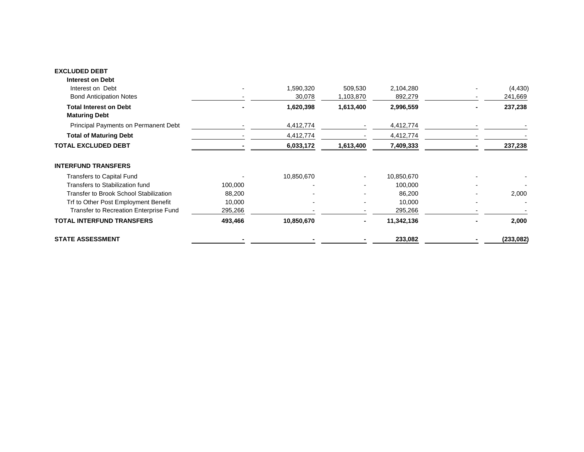#### **EXCLUDED DEBT**

| <b>STATE ASSESSMENT</b>                               |         |                     |                      | 233,082              |                          | (233, 082)          |
|-------------------------------------------------------|---------|---------------------|----------------------|----------------------|--------------------------|---------------------|
| <b>TOTAL INTERFUND TRANSFERS</b>                      | 493,466 | 10,850,670          |                      | 11,342,136           |                          | 2,000               |
| Transfer to Recreation Enterprise Fund                | 295,266 |                     |                      | 295,266              |                          |                     |
| Trf to Other Post Employment Benefit                  | 10,000  |                     |                      | 10,000               | ۰                        |                     |
| Transfer to Brook School Stabilization                | 88,200  |                     |                      | 86,200               |                          | 2,000               |
| Transfers to Stabilization fund                       | 100,000 |                     |                      | 100,000              | $\overline{\phantom{0}}$ |                     |
| <b>Transfers to Capital Fund</b>                      |         | 10,850,670          |                      | 10,850,670           |                          |                     |
| <b>INTERFUND TRANSFERS</b>                            |         |                     |                      |                      |                          |                     |
| <b>TOTAL EXCLUDED DEBT</b>                            |         | 6,033,172           | 1,613,400            | 7,409,333            |                          | 237,238             |
| <b>Total of Maturing Debt</b>                         |         | 4,412,774           |                      | 4,412,774            |                          |                     |
| Principal Payments on Permanent Debt                  |         | 4,412,774           |                      | 4,412,774            |                          |                     |
| <b>Total Interest on Debt</b><br><b>Maturing Debt</b> |         | 1,620,398           | 1,613,400            | 2,996,559            |                          | 237,238             |
| Interest on Debt<br><b>Bond Anticipation Notes</b>    |         | 1,590,320<br>30,078 | 509,530<br>1,103,870 | 2,104,280<br>892,279 |                          | (4, 430)<br>241,669 |
| <b>Interest on Debt</b>                               |         |                     |                      |                      |                          |                     |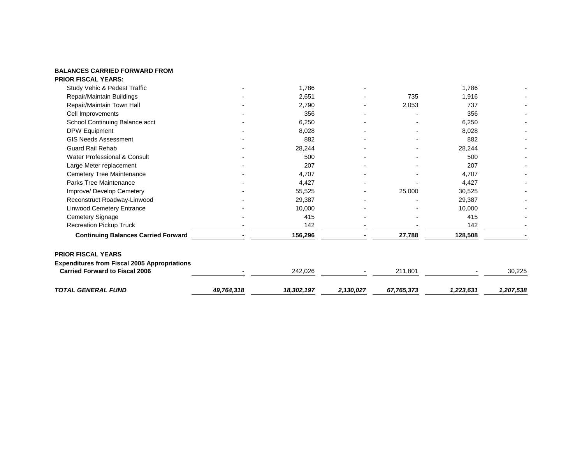#### **BALANCES CARRIED FORWARD FROM PRIOR FISCAL YEARS:**

| <b>TOTAL GENERAL FUND</b>                                                                                                 | 49,764,318 | 18,302,197 | 2,130,027 | 67,765,373 | 1,223,631 | 1,207,538 |
|---------------------------------------------------------------------------------------------------------------------------|------------|------------|-----------|------------|-----------|-----------|
| <b>PRIOR FISCAL YEARS</b><br><b>Expenditures from Fiscal 2005 Appropriations</b><br><b>Carried Forward to Fiscal 2006</b> |            | 242,026    |           | 211,801    |           | 30,225    |
| <b>Continuing Balances Carried Forward</b>                                                                                |            | 156,296    |           | 27,788     | 128,508   |           |
| <b>Recreation Pickup Truck</b>                                                                                            |            | 142        |           |            | 142       |           |
| Cemetery Signage                                                                                                          |            | 415        |           |            | 415       |           |
| <b>Linwood Cemetery Entrance</b>                                                                                          |            | 10,000     |           |            | 10,000    |           |
| Reconstruct Roadway-Linwood                                                                                               |            | 29,387     |           |            | 29,387    |           |
| Improve/ Develop Cemetery                                                                                                 |            | 55,525     |           | 25,000     | 30,525    |           |
| Parks Tree Maintenance                                                                                                    |            | 4,427      |           |            | 4,427     |           |
| Cemetery Tree Maintenance                                                                                                 |            | 4,707      |           |            | 4,707     |           |
| Large Meter replacement                                                                                                   |            | 207        |           |            | 207       |           |
| Water Professional & Consult                                                                                              |            | 500        |           |            | 500       |           |
| <b>Guard Rail Rehab</b>                                                                                                   |            | 28,244     |           |            | 28,244    |           |
| <b>GIS Needs Assessment</b>                                                                                               |            | 882        |           |            | 882       |           |
| DPW Equipment                                                                                                             |            | 8,028      |           |            | 8,028     |           |
| School Continuing Balance acct                                                                                            |            | 6,250      |           |            | 6,250     |           |
| Cell Improvements                                                                                                         |            | 356        |           |            | 356       |           |
| Repair/Maintain Town Hall                                                                                                 |            | 2,790      |           | 2,053      | 737       |           |
| Repair/Maintain Buildings                                                                                                 |            | 2,651      |           | 735        | 1,916     |           |
| Study Vehic & Pedest Traffic                                                                                              |            | 1,786      |           |            | 1,786     |           |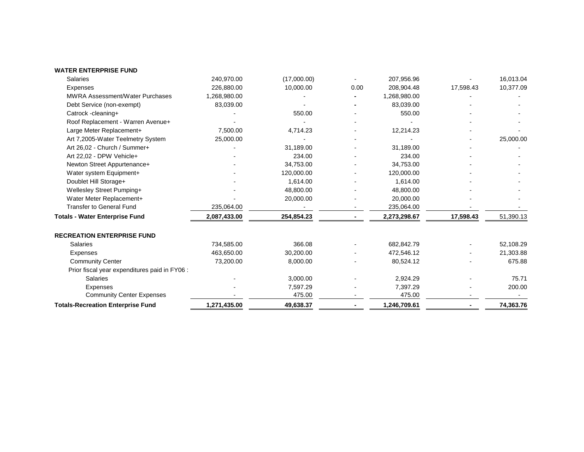|  | <b>WATER ENTERPRISE FUND</b> |  |
|--|------------------------------|--|
|--|------------------------------|--|

| Art 26,02 - Church / Summer+                  |              | 31,189.00  | 31,189.00    |           |           |
|-----------------------------------------------|--------------|------------|--------------|-----------|-----------|
| Art 22.02 - DPW Vehicle+                      |              | 234.00     | 234.00       |           |           |
| Newton Street Appurtenance+                   |              | 34,753.00  | 34,753.00    |           |           |
| Water system Equipment+                       |              | 120,000.00 | 120,000.00   |           |           |
| Doublet Hill Storage+                         |              | 1,614.00   | 1,614.00     |           |           |
| Wellesley Street Pumping+                     |              | 48,800.00  | 48,800.00    |           |           |
| Water Meter Replacement+                      |              | 20,000.00  | 20,000.00    |           |           |
| <b>Transfer to General Fund</b>               | 235,064.00   |            | 235,064.00   |           |           |
|                                               |              |            |              |           |           |
| <b>Totals - Water Enterprise Fund</b>         | 2,087,433.00 | 254,854.23 | 2,273,298.67 | 17,598.43 | 51,390.13 |
| <b>RECREATION ENTERPRISE FUND</b>             |              |            |              |           |           |
| Salaries                                      | 734,585.00   | 366.08     | 682,842.79   |           | 52,108.29 |
| Expenses                                      | 463,650.00   | 30,200.00  | 472,546.12   |           | 21,303.88 |
| <b>Community Center</b>                       | 73,200.00    | 8,000.00   | 80,524.12    |           | 675.88    |
| Prior fiscal year expenditures paid in FY06 : |              |            |              |           |           |
| <b>Salaries</b>                               |              | 3,000.00   | 2,924.29     |           | 75.71     |
| Expenses                                      |              | 7,597.29   | 7,397.29     |           | 200.00    |
| <b>Community Center Expenses</b>              |              | 475.00     | 475.00       |           |           |
| <b>Totals-Recreation Enterprise Fund</b>      | 1,271,435.00 | 49,638.37  | 1,246,709.61 |           | 74,363.76 |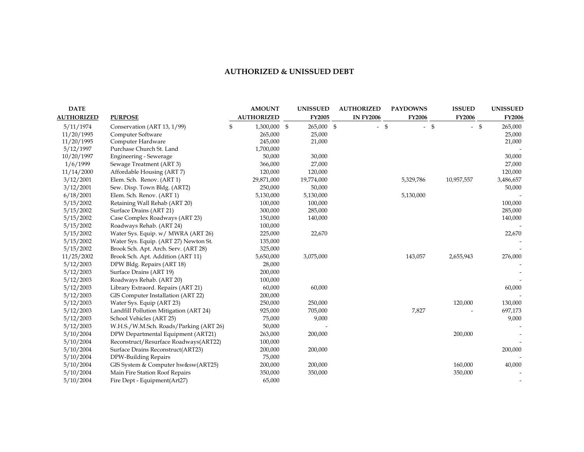# **AUTHORIZED & UNISSUED DEBT**

| <b>DATE</b>       |                                        | <b>AMOUNT</b>      | <b>UNISSUED</b> | <b>AUTHORIZED</b> | <b>PAYDOWNS</b> | <b>ISSUED</b> | <b>UNISSUED</b> |
|-------------------|----------------------------------------|--------------------|-----------------|-------------------|-----------------|---------------|-----------------|
| <b>AUTHORIZED</b> | <b>PURPOSE</b>                         | <b>AUTHORIZED</b>  | <b>FY2005</b>   | <b>IN FY2006</b>  | <b>FY2006</b>   | <b>FY2006</b> | <b>FY2006</b>   |
| 5/11/1974         | Conservation (ART 13, 1/99)            | \$<br>1,300,000 \$ | 265,000 \$      | $-$ \$            | $-$ \$          | $-$ \$        | 265,000         |
| 11/20/1995        | Computer Software                      | 265,000            | 25,000          |                   |                 |               | 25,000          |
| 11/20/1995        | Computer Hardware                      | 245,000            | 21,000          |                   |                 |               | 21,000          |
| 5/12/1997         | Purchase Church St. Land               | 1,700,000          |                 |                   |                 |               |                 |
| 10/20/1997        | Engineering - Sewerage                 | 50,000             | 30,000          |                   |                 |               | 30,000          |
| 1/6/1999          | Sewage Treatment (ART 3)               | 366,000            | 27,000          |                   |                 |               | 27,000          |
| 11/14/2000        | Affordable Housing (ART 7)             | 120,000            | 120,000         |                   |                 |               | 120,000         |
| 3/12/2001         | Elem. Sch. Renov. (ART 1)              | 29,871,000         | 19,774,000      |                   | 5,329,786       | 10,957,557    | 3,486,657       |
| 3/12/2001         | Sew. Disp. Town Bldg. (ART2)           | 250,000            | 50,000          |                   |                 |               | 50,000          |
| 6/18/2001         | Elem. Sch. Renov. (ART 1)              | 5,130,000          | 5,130,000       |                   | 5,130,000       |               |                 |
| 5/15/2002         | Retaining Wall Rehab (ART 20)          | 100,000            | 100,000         |                   |                 |               | 100,000         |
| 5/15/2002         | Surface Drains (ART 21)                | 300,000            | 285,000         |                   |                 |               | 285,000         |
| 5/15/2002         | Case Complex Roadways (ART 23)         | 150,000            | 140,000         |                   |                 |               | 140,000         |
| 5/15/2002         | Roadways Rehab. (ART 24)               | 100,000            |                 |                   |                 |               |                 |
| 5/15/2002         | Water Sys. Equip. w/ MWRA (ART 26)     | 225,000            | 22,670          |                   |                 |               | 22,670          |
| 5/15/2002         | Water Sys. Equip. (ART 27) Newton St.  | 135,000            |                 |                   |                 |               |                 |
| 5/15/2002         | Brook Sch. Apt. Arch. Serv. (ART 28)   | 325,000            |                 |                   |                 |               |                 |
| 11/25/2002        | Brook Sch. Apt. Addition (ART 11)      | 5,650,000          | 3,075,000       |                   | 143,057         | 2,655,943     | 276,000         |
| 5/12/2003         | DPW Bldg. Repairs (ART 18)             | 28,000             |                 |                   |                 |               |                 |
| 5/12/2003         | Surface Drains (ART 19)                | 200,000            |                 |                   |                 |               |                 |
| 5/12/2003         | Roadways Rehab. (ART 20)               | 100,000            |                 |                   |                 |               |                 |
| 5/12/2003         | Library Extraord. Repairs (ART 21)     | 60,000             | 60,000          |                   |                 |               | 60,000          |
| 5/12/2003         | GIS Computer Installation (ART 22)     | 200,000            |                 |                   |                 |               |                 |
| 5/12/2003         | Water Sys. Equip (ART 23)              | 250,000            | 250,000         |                   |                 | 120,000       | 130,000         |
| 5/12/2003         | Landfill Pollution Mitigation (ART 24) | 925,000            | 705,000         |                   | 7,827           |               | 697,173         |
| 5/12/2003         | School Vehicles (ART 25)               | 75,000             | 9,000           |                   |                 |               | 9,000           |
| 5/12/2003         | W.H.S./W.M.Sch. Roads/Parking (ART 26) | 50,000             |                 |                   |                 |               |                 |
| 5/10/2004         | DPW Departmental Equipment (ART21)     | 263,000            | 200,000         |                   |                 | 200,000       |                 |
| 5/10/2004         | Reconstruct/Resurface Roadways(ART22)  | 100,000            |                 |                   |                 |               |                 |
| 5/10/2004         | Surface Drains Reconstruct(ART23)      | 200,000            | 200,000         |                   |                 |               | 200,000         |
| 5/10/2004         | DPW-Building Repairs                   | 75,000             |                 |                   |                 |               |                 |
| 5/10/2004         | GIS System & Computer hw&sw(ART25)     | 200,000            | 200,000         |                   |                 | 160,000       | 40,000          |
| 5/10/2004         | Main Fire Station Roof Repairs         | 350,000            | 350,000         |                   |                 | 350,000       |                 |
| 5/10/2004         | Fire Dept - Equipment(Art27)           | 65,000             |                 |                   |                 |               |                 |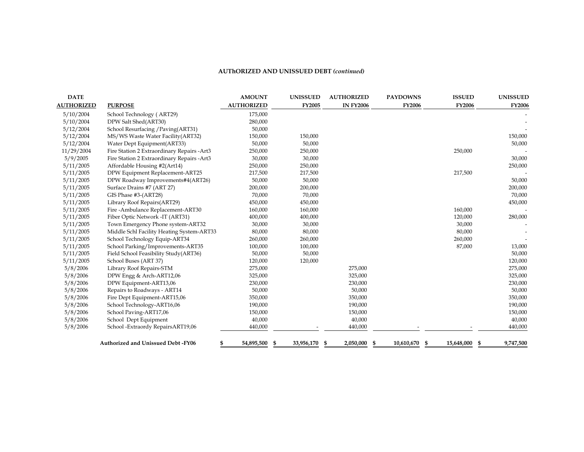#### **AUThORIZED AND UNISSUED DEBT** *(continued)*

| <b>DATE</b>       |                                            | <b>AMOUNT</b>     | <b>UNISSUED</b> | <b>AUTHORIZED</b>     | <b>PAYDOWNS</b>  | <b>ISSUED</b>    | <b>UNISSUED</b> |
|-------------------|--------------------------------------------|-------------------|-----------------|-----------------------|------------------|------------------|-----------------|
| <b>AUTHORIZED</b> | <b>PURPOSE</b>                             | <b>AUTHORIZED</b> | <b>FY2005</b>   | <b>IN FY2006</b>      | <b>FY2006</b>    | <b>FY2006</b>    | <b>FY2006</b>   |
| 5/10/2004         | School Technology (ART29)                  | 175,000           |                 |                       |                  |                  |                 |
| 5/10/2004         | DPW Salt Shed(ART30)                       | 280,000           |                 |                       |                  |                  |                 |
| 5/12/2004         | School Resurfacing / Paving(ART31)         | 50,000            |                 |                       |                  |                  |                 |
| 5/12/2004         | MS/WS Waste Water Facility (ART32)         | 150,000           | 150,000         |                       |                  |                  | 150,000         |
| 5/12/2004         | Water Dept Equipment(ART33)                | 50,000            | 50,000          |                       |                  |                  | 50,000          |
| 11/29/2004        | Fire Station 2 Extraordinary Repairs -Art3 | 250,000           | 250,000         |                       |                  | 250,000          |                 |
| 5/9/2005          | Fire Station 2 Extraordinary Repairs -Art3 | 30,000            | 30,000          |                       |                  |                  | 30,000          |
| 5/11/2005         | Affordable Housing #2(Art14)               | 250,000           | 250,000         |                       |                  |                  | 250,000         |
| 5/11/2005         | DPW Equipment Replacement-ART25            | 217,500           | 217,500         |                       |                  | 217,500          |                 |
| 5/11/2005         | DPW Roadway Improvements#4(ART26)          | 50,000            | 50,000          |                       |                  |                  | 50,000          |
| 5/11/2005         | Surface Drains #7 (ART 27)                 | 200,000           | 200,000         |                       |                  |                  | 200,000         |
| 5/11/2005         | GIS Phase #3-(ART28)                       | 70,000            | 70,000          |                       |                  |                  | 70,000          |
| 5/11/2005         | Library Roof Repairs(ART29)                | 450,000           | 450,000         |                       |                  |                  | 450,000         |
| 5/11/2005         | Fire -Ambulance Replacement-ART30          | 160,000           | 160,000         |                       |                  | 160,000          |                 |
| 5/11/2005         | Fiber Optic Network - IT (ART31)           | 400,000           | 400,000         |                       |                  | 120,000          | 280,000         |
| 5/11/2005         | Town Emergency Phone system-ART32          | 30,000            | 30,000          |                       |                  | 30,000           |                 |
| 5/11/2005         | Middle Schl Facility Heating System-ART33  | 80,000            | 80,000          |                       |                  | 80,000           |                 |
| 5/11/2005         | School Technology Equip-ART34              | 260,000           | 260,000         |                       |                  | 260,000          |                 |
| 5/11/2005         | School Parking/Improvements-ART35          | 100,000           | 100,000         |                       |                  | 87,000           | 13,000          |
| 5/11/2005         | Field School Feasibility Study(ART36)      | 50,000            | 50,000          |                       |                  |                  | 50,000          |
| 5/11/2005         | School Buses (ART 37)                      | 120,000           | 120,000         |                       |                  |                  | 120,000         |
| 5/8/2006          | Library Roof Repairs-STM                   | 275,000           |                 | 275,000               |                  |                  | 275,000         |
| 5/8/2006          | DPW Engg & Arch-ART12,06                   | 325,000           |                 | 325,000               |                  |                  | 325,000         |
| 5/8/2006          | DPW Equipment-ART13,06                     | 230,000           |                 | 230,000               |                  |                  | 230,000         |
| 5/8/2006          | Repairs to Roadways - ART14                | 50,000            |                 | 50,000                |                  |                  | 50,000          |
| 5/8/2006          | Fire Dept Equipment-ART15,06               | 350,000           |                 | 350,000               |                  |                  | 350,000         |
| 5/8/2006          | School Technology-ART16,06                 | 190,000           |                 | 190,000               |                  |                  | 190,000         |
| 5/8/2006          | School Paving-ART17,06                     | 150,000           |                 | 150,000               |                  |                  | 150,000         |
| 5/8/2006          | School Dept Equipment                      | 40,000            |                 | 40,000                |                  |                  | 40,000          |
| 5/8/2006          | School - Extraordy Repairs ART19,06        | 440,000           |                 | 440,000               |                  |                  | 440,000         |
|                   |                                            |                   |                 |                       |                  |                  |                 |
|                   | Authorized and Unissued Debt-FY06          | 54,895,500<br>-5  | 33,956,170      | \$<br>2,050,000<br>\$ | 10,610,670<br>-5 | 15,648,000<br>-5 | 9,747,500       |